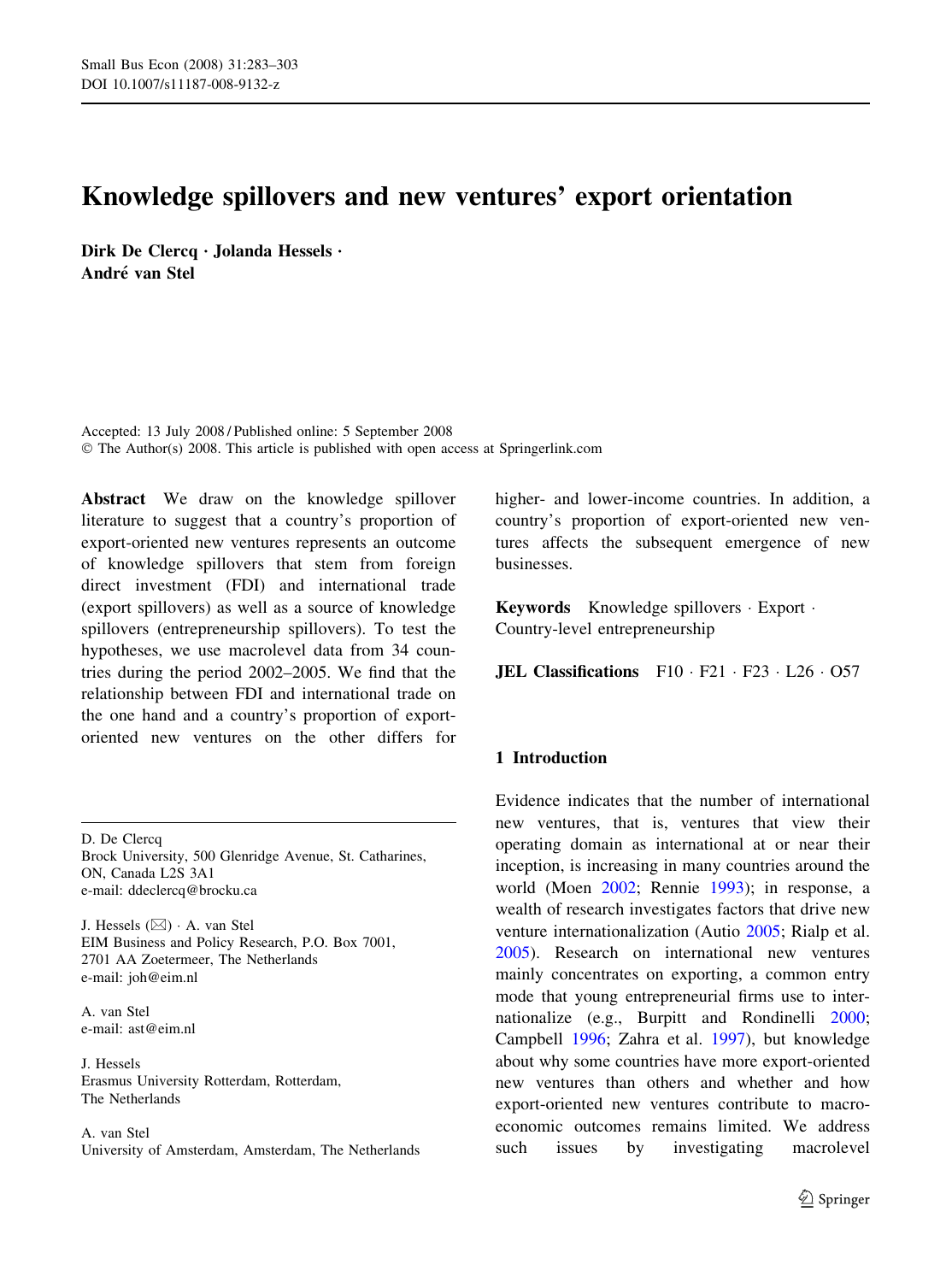# Knowledge spillovers and new ventures' export orientation

Dirk De Clercq · Jolanda Hessels · André van Stel

Accepted: 13 July 2008 / Published online: 5 September 2008  $\odot$  The Author(s) 2008. This article is published with open access at Springerlink.com

Abstract We draw on the knowledge spillover literature to suggest that a country's proportion of export-oriented new ventures represents an outcome of knowledge spillovers that stem from foreign direct investment (FDI) and international trade (export spillovers) as well as a source of knowledge spillovers (entrepreneurship spillovers). To test the hypotheses, we use macrolevel data from 34 countries during the period 2002–2005. We find that the relationship between FDI and international trade on the one hand and a country's proportion of exportoriented new ventures on the other differs for

D. De Clercq

Brock University, 500 Glenridge Avenue, St. Catharines, ON, Canada L2S 3A1 e-mail: ddeclercq@brocku.ca

J. Hessels  $(\boxtimes)$   $\cdot$  A. van Stel EIM Business and Policy Research, P.O. Box 7001, 2701 AA Zoetermeer, The Netherlands e-mail: joh@eim.nl

A. van Stel e-mail: ast@eim.nl

J. Hessels Erasmus University Rotterdam, Rotterdam, The Netherlands

A. van Stel University of Amsterdam, Amsterdam, The Netherlands higher- and lower-income countries. In addition, a country's proportion of export-oriented new ventures affects the subsequent emergence of new businesses.

Keywords Knowledge spillovers · Export · Country-level entrepreneurship

JEL Classifications  $F10 \cdot F21 \cdot F23 \cdot L26 \cdot O57$ 

### 1 Introduction

Evidence indicates that the number of international new ventures, that is, ventures that view their operating domain as international at or near their inception, is increasing in many countries around the world (Moen [2002;](#page-19-0) Rennie [1993\)](#page-19-0); in response, a wealth of research investigates factors that drive new venture internationalization (Autio [2005;](#page-17-0) Rialp et al. [2005\)](#page-19-0). Research on international new ventures mainly concentrates on exporting, a common entry mode that young entrepreneurial firms use to internationalize (e.g., Burpitt and Rondinelli [2000](#page-18-0); Campbell [1996](#page-18-0); Zahra et al. [1997\)](#page-20-0), but knowledge about why some countries have more export-oriented new ventures than others and whether and how export-oriented new ventures contribute to macroeconomic outcomes remains limited. We address such issues by investigating macrolevel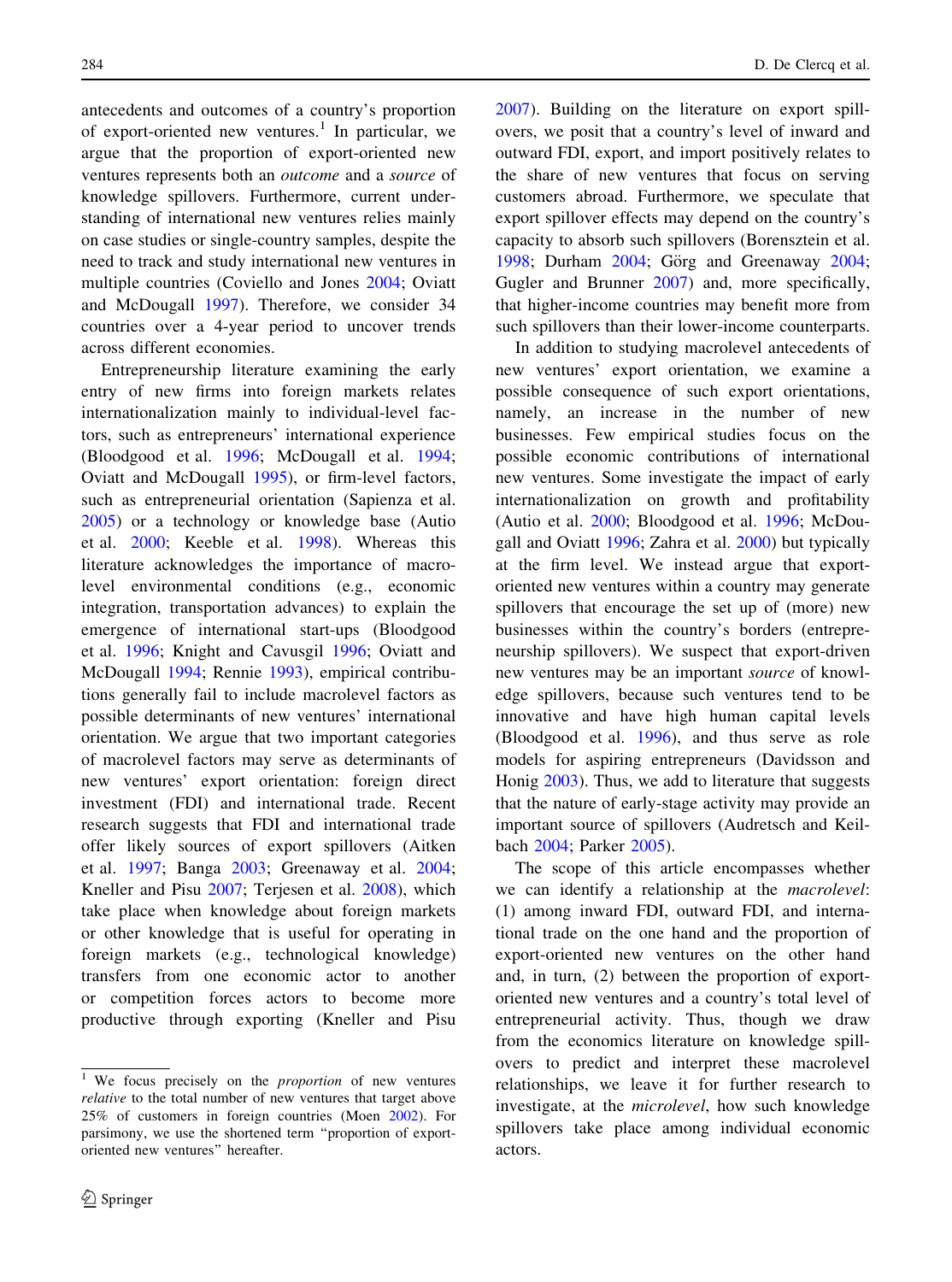antecedents and outcomes of a country's proportion of export-oriented new ventures.<sup>1</sup> In particular, we argue that the proportion of export-oriented new ventures represents both an outcome and a source of knowledge spillovers. Furthermore, current understanding of international new ventures relies mainly on case studies or single-country samples, despite the need to track and study international new ventures in multiple countries (Coviello and Jones [2004;](#page-18-0) Oviatt and McDougall [1997](#page-19-0)). Therefore, we consider 34 countries over a 4-year period to uncover trends across different economies.

Entrepreneurship literature examining the early entry of new firms into foreign markets relates internationalization mainly to individual-level factors, such as entrepreneurs' international experience (Bloodgood et al. [1996](#page-17-0); McDougall et al. [1994](#page-19-0); Oviatt and McDougall [1995](#page-19-0)), or firm-level factors, such as entrepreneurial orientation (Sapienza et al. [2005\)](#page-19-0) or a technology or knowledge base (Autio et al. [2000](#page-17-0); Keeble et al. [1998\)](#page-19-0). Whereas this literature acknowledges the importance of macrolevel environmental conditions (e.g., economic integration, transportation advances) to explain the emergence of international start-ups (Bloodgood et al. [1996;](#page-17-0) Knight and Cavusgil [1996;](#page-19-0) Oviatt and McDougall [1994;](#page-19-0) Rennie [1993](#page-19-0)), empirical contributions generally fail to include macrolevel factors as possible determinants of new ventures' international orientation. We argue that two important categories of macrolevel factors may serve as determinants of new ventures' export orientation: foreign direct investment (FDI) and international trade. Recent research suggests that FDI and international trade offer likely sources of export spillovers (Aitken et al. [1997;](#page-17-0) Banga [2003](#page-17-0); Greenaway et al. [2004](#page-18-0); Kneller and Pisu [2007;](#page-19-0) Terjesen et al. [2008](#page-20-0)), which take place when knowledge about foreign markets or other knowledge that is useful for operating in foreign markets (e.g., technological knowledge) transfers from one economic actor to another or competition forces actors to become more productive through exporting (Kneller and Pisu

[2007\)](#page-19-0). Building on the literature on export spillovers, we posit that a country's level of inward and outward FDI, export, and import positively relates to the share of new ventures that focus on serving customers abroad. Furthermore, we speculate that export spillover effects may depend on the country's capacity to absorb such spillovers (Borensztein et al. [1998;](#page-17-0) Durham [2004;](#page-18-0) Görg and Greenaway [2004](#page-18-0); Gugler and Brunner [2007\)](#page-18-0) and, more specifically, that higher-income countries may benefit more from such spillovers than their lower-income counterparts.

In addition to studying macrolevel antecedents of new ventures' export orientation, we examine a possible consequence of such export orientations, namely, an increase in the number of new businesses. Few empirical studies focus on the possible economic contributions of international new ventures. Some investigate the impact of early internationalization on growth and profitability (Autio et al. [2000;](#page-17-0) Bloodgood et al. [1996;](#page-17-0) McDougall and Oviatt [1996](#page-19-0); Zahra et al. [2000](#page-20-0)) but typically at the firm level. We instead argue that exportoriented new ventures within a country may generate spillovers that encourage the set up of (more) new businesses within the country's borders (entrepreneurship spillovers). We suspect that export-driven new ventures may be an important source of knowledge spillovers, because such ventures tend to be innovative and have high human capital levels (Bloodgood et al. [1996\)](#page-17-0), and thus serve as role models for aspiring entrepreneurs (Davidsson and Honig [2003\)](#page-18-0). Thus, we add to literature that suggests that the nature of early-stage activity may provide an important source of spillovers (Audretsch and Keilbach [2004](#page-17-0); Parker [2005\)](#page-19-0).

The scope of this article encompasses whether we can identify a relationship at the macrolevel: (1) among inward FDI, outward FDI, and international trade on the one hand and the proportion of export-oriented new ventures on the other hand and, in turn, (2) between the proportion of exportoriented new ventures and a country's total level of entrepreneurial activity. Thus, though we draw from the economics literature on knowledge spillovers to predict and interpret these macrolevel relationships, we leave it for further research to investigate, at the microlevel, how such knowledge spillovers take place among individual economic actors.

<sup>&</sup>lt;sup>1</sup> We focus precisely on the *proportion* of new ventures relative to the total number of new ventures that target above 25% of customers in foreign countries (Moen [2002\)](#page-19-0). For parsimony, we use the shortened term ''proportion of exportoriented new ventures'' hereafter.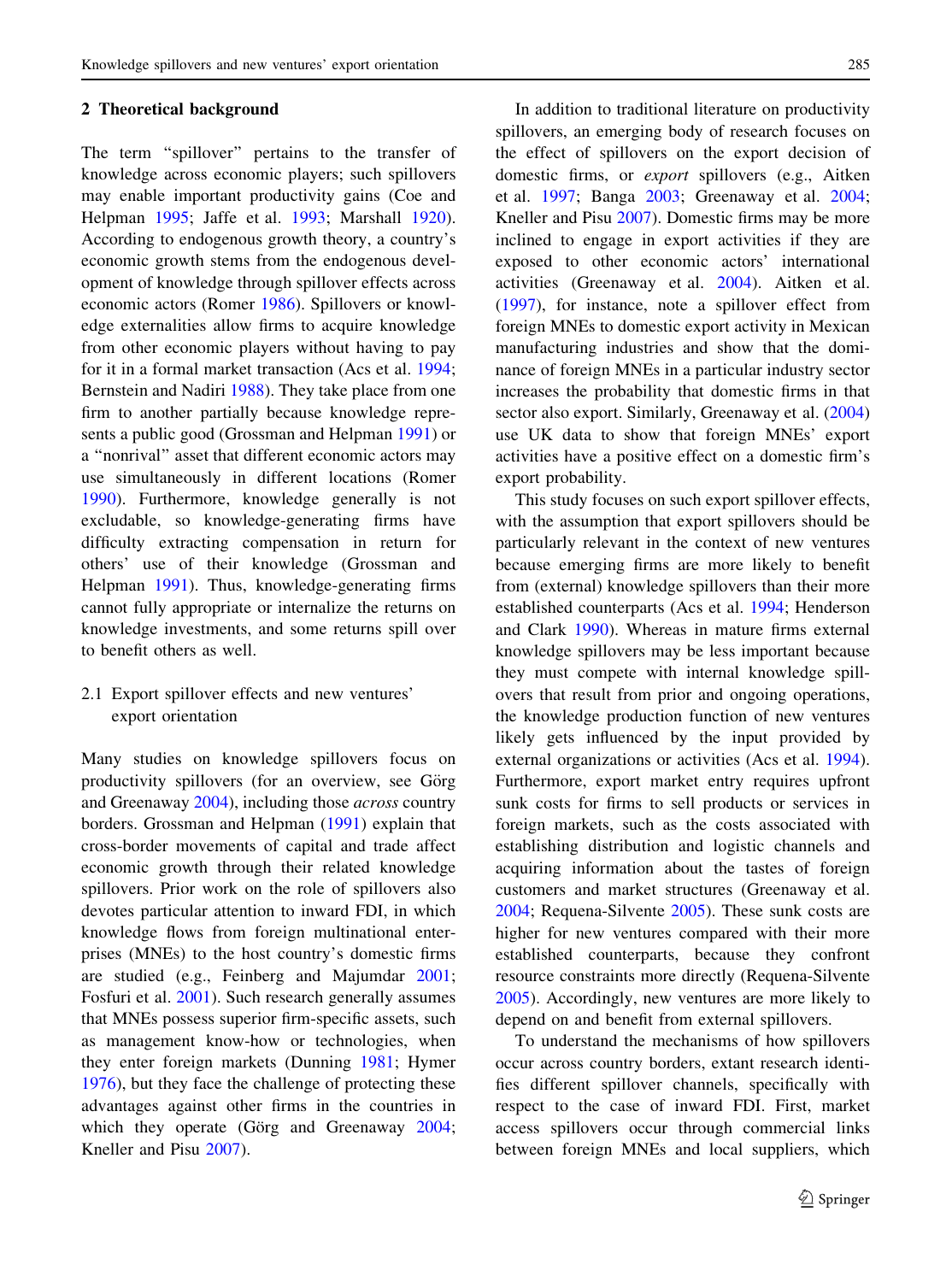#### 2 Theoretical background

The term "spillover" pertains to the transfer of knowledge across economic players; such spillovers may enable important productivity gains (Coe and Helpman [1995;](#page-18-0) Jaffe et al. [1993](#page-19-0); Marshall [1920](#page-19-0)). According to endogenous growth theory, a country's economic growth stems from the endogenous development of knowledge through spillover effects across economic actors (Romer [1986\)](#page-19-0). Spillovers or knowledge externalities allow firms to acquire knowledge from other economic players without having to pay for it in a formal market transaction (Acs et al. [1994](#page-17-0); Bernstein and Nadiri [1988](#page-17-0)). They take place from one firm to another partially because knowledge represents a public good (Grossman and Helpman [1991](#page-18-0)) or a ''nonrival'' asset that different economic actors may use simultaneously in different locations (Romer [1990\)](#page-19-0). Furthermore, knowledge generally is not excludable, so knowledge-generating firms have difficulty extracting compensation in return for others' use of their knowledge (Grossman and Helpman [1991\)](#page-18-0). Thus, knowledge-generating firms cannot fully appropriate or internalize the returns on knowledge investments, and some returns spill over to benefit others as well.

2.1 Export spillover effects and new ventures' export orientation

Many studies on knowledge spillovers focus on productivity spillovers (for an overview, see Görg and Greenaway [2004](#page-18-0)), including those across country borders. Grossman and Helpman ([1991\)](#page-18-0) explain that cross-border movements of capital and trade affect economic growth through their related knowledge spillovers. Prior work on the role of spillovers also devotes particular attention to inward FDI, in which knowledge flows from foreign multinational enterprises (MNEs) to the host country's domestic firms are studied (e.g., Feinberg and Majumdar [2001](#page-18-0); Fosfuri et al. [2001](#page-18-0)). Such research generally assumes that MNEs possess superior firm-specific assets, such as management know-how or technologies, when they enter foreign markets (Dunning [1981;](#page-18-0) Hymer [1976\)](#page-18-0), but they face the challenge of protecting these advantages against other firms in the countries in which they operate (Görg and Greenaway  $2004$ ; Kneller and Pisu [2007](#page-19-0)).

In addition to traditional literature on productivity spillovers, an emerging body of research focuses on the effect of spillovers on the export decision of domestic firms, or export spillovers (e.g., Aitken et al. [1997](#page-17-0); Banga [2003](#page-17-0); Greenaway et al. [2004](#page-18-0); Kneller and Pisu [2007\)](#page-19-0). Domestic firms may be more inclined to engage in export activities if they are exposed to other economic actors' international activities (Greenaway et al. [2004](#page-18-0)). Aitken et al. [\(1997](#page-17-0)), for instance, note a spillover effect from foreign MNEs to domestic export activity in Mexican manufacturing industries and show that the dominance of foreign MNEs in a particular industry sector increases the probability that domestic firms in that sector also export. Similarly, Greenaway et al. ([2004\)](#page-18-0) use UK data to show that foreign MNEs' export activities have a positive effect on a domestic firm's export probability.

This study focuses on such export spillover effects, with the assumption that export spillovers should be particularly relevant in the context of new ventures because emerging firms are more likely to benefit from (external) knowledge spillovers than their more established counterparts (Acs et al. [1994;](#page-17-0) Henderson and Clark [1990\)](#page-18-0). Whereas in mature firms external knowledge spillovers may be less important because they must compete with internal knowledge spillovers that result from prior and ongoing operations, the knowledge production function of new ventures likely gets influenced by the input provided by external organizations or activities (Acs et al. [1994](#page-17-0)). Furthermore, export market entry requires upfront sunk costs for firms to sell products or services in foreign markets, such as the costs associated with establishing distribution and logistic channels and acquiring information about the tastes of foreign customers and market structures (Greenaway et al. [2004;](#page-18-0) Requena-Silvente [2005\)](#page-19-0). These sunk costs are higher for new ventures compared with their more established counterparts, because they confront resource constraints more directly (Requena-Silvente [2005\)](#page-19-0). Accordingly, new ventures are more likely to depend on and benefit from external spillovers.

To understand the mechanisms of how spillovers occur across country borders, extant research identifies different spillover channels, specifically with respect to the case of inward FDI. First, market access spillovers occur through commercial links between foreign MNEs and local suppliers, which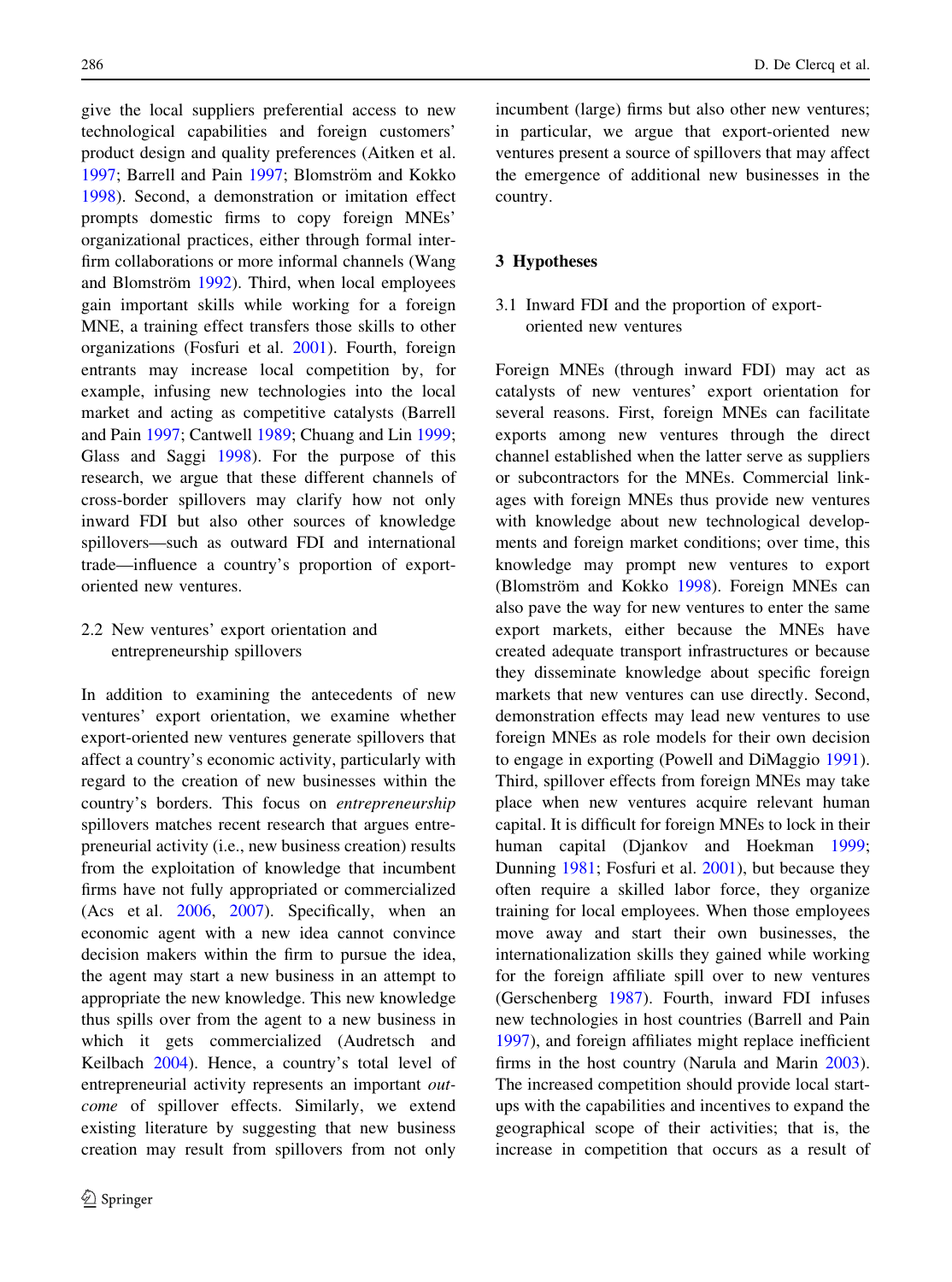give the local suppliers preferential access to new technological capabilities and foreign customers' product design and quality preferences (Aitken et al. [1997;](#page-17-0) Barrell and Pain 1997; Blomström and Kokko [1998\)](#page-17-0). Second, a demonstration or imitation effect prompts domestic firms to copy foreign MNEs' organizational practices, either through formal interfirm collaborations or more informal channels (Wang and Blomström [1992](#page-20-0)). Third, when local employees gain important skills while working for a foreign MNE, a training effect transfers those skills to other organizations (Fosfuri et al. [2001](#page-18-0)). Fourth, foreign entrants may increase local competition by, for example, infusing new technologies into the local market and acting as competitive catalysts (Barrell and Pain [1997;](#page-17-0) Cantwell [1989;](#page-18-0) Chuang and Lin [1999](#page-18-0); Glass and Saggi [1998\)](#page-18-0). For the purpose of this research, we argue that these different channels of cross-border spillovers may clarify how not only inward FDI but also other sources of knowledge spillovers—such as outward FDI and international trade—influence a country's proportion of exportoriented new ventures.

# 2.2 New ventures' export orientation and entrepreneurship spillovers

In addition to examining the antecedents of new ventures' export orientation, we examine whether export-oriented new ventures generate spillovers that affect a country's economic activity, particularly with regard to the creation of new businesses within the country's borders. This focus on entrepreneurship spillovers matches recent research that argues entrepreneurial activity (i.e., new business creation) results from the exploitation of knowledge that incumbent firms have not fully appropriated or commercialized (Acs et al. [2006,](#page-17-0) [2007\)](#page-17-0). Specifically, when an economic agent with a new idea cannot convince decision makers within the firm to pursue the idea, the agent may start a new business in an attempt to appropriate the new knowledge. This new knowledge thus spills over from the agent to a new business in which it gets commercialized (Audretsch and Keilbach [2004](#page-17-0)). Hence, a country's total level of entrepreneurial activity represents an important outcome of spillover effects. Similarly, we extend existing literature by suggesting that new business creation may result from spillovers from not only

incumbent (large) firms but also other new ventures; in particular, we argue that export-oriented new ventures present a source of spillovers that may affect the emergence of additional new businesses in the country.

## 3 Hypotheses

## 3.1 Inward FDI and the proportion of exportoriented new ventures

Foreign MNEs (through inward FDI) may act as catalysts of new ventures' export orientation for several reasons. First, foreign MNEs can facilitate exports among new ventures through the direct channel established when the latter serve as suppliers or subcontractors for the MNEs. Commercial linkages with foreign MNEs thus provide new ventures with knowledge about new technological developments and foreign market conditions; over time, this knowledge may prompt new ventures to export (Blomström and Kokko [1998](#page-17-0)). Foreign MNEs can also pave the way for new ventures to enter the same export markets, either because the MNEs have created adequate transport infrastructures or because they disseminate knowledge about specific foreign markets that new ventures can use directly. Second, demonstration effects may lead new ventures to use foreign MNEs as role models for their own decision to engage in exporting (Powell and DiMaggio [1991](#page-19-0)). Third, spillover effects from foreign MNEs may take place when new ventures acquire relevant human capital. It is difficult for foreign MNEs to lock in their human capital (Djankov and Hoekman [1999](#page-18-0); Dunning [1981;](#page-18-0) Fosfuri et al. [2001\)](#page-18-0), but because they often require a skilled labor force, they organize training for local employees. When those employees move away and start their own businesses, the internationalization skills they gained while working for the foreign affiliate spill over to new ventures (Gerschenberg [1987\)](#page-18-0). Fourth, inward FDI infuses new technologies in host countries (Barrell and Pain [1997\)](#page-17-0), and foreign affiliates might replace inefficient firms in the host country (Narula and Marin [2003](#page-19-0)). The increased competition should provide local startups with the capabilities and incentives to expand the geographical scope of their activities; that is, the increase in competition that occurs as a result of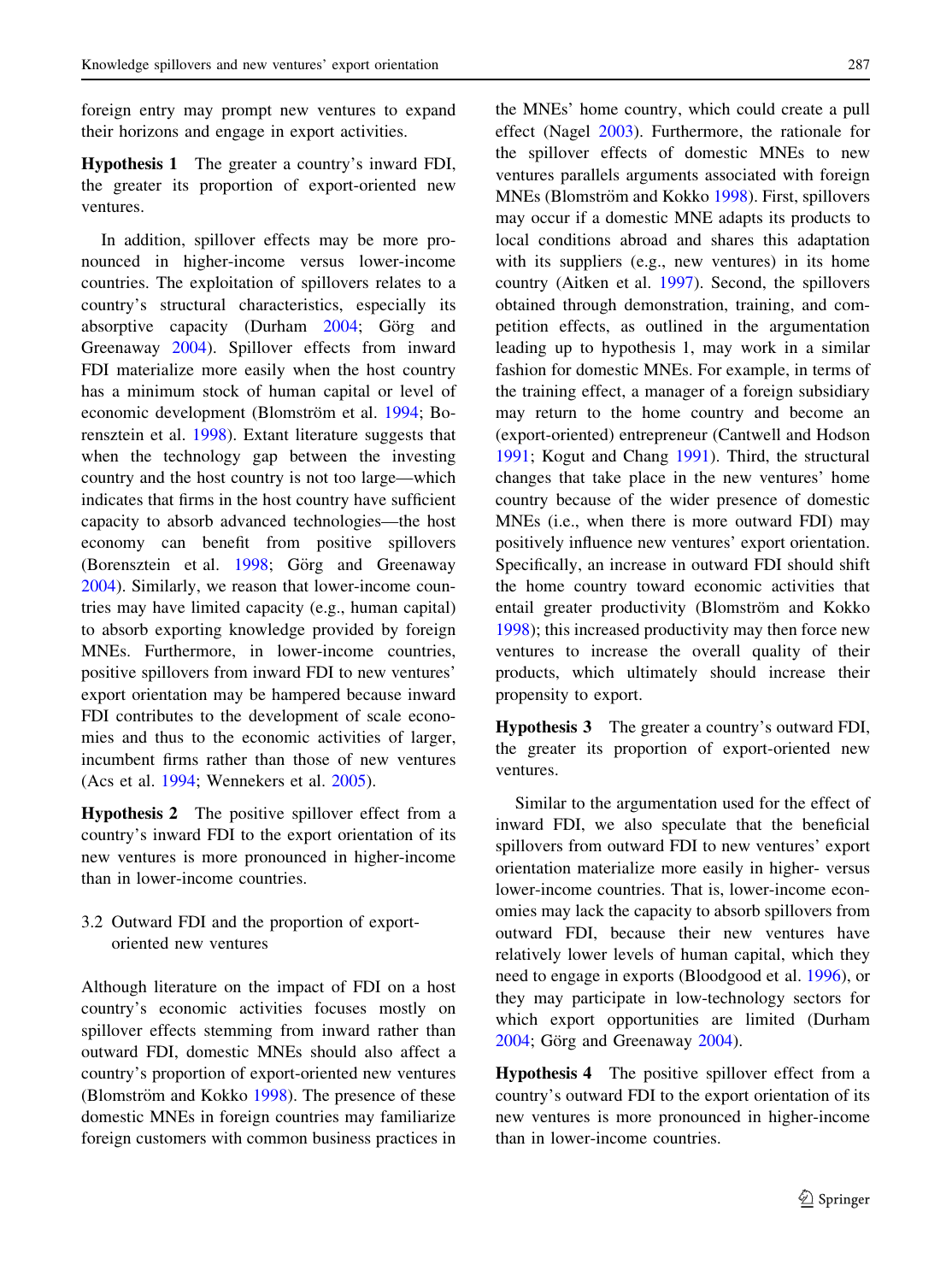foreign entry may prompt new ventures to expand their horizons and engage in export activities.

Hypothesis 1 The greater a country's inward FDI, the greater its proportion of export-oriented new ventures.

In addition, spillover effects may be more pronounced in higher-income versus lower-income countries. The exploitation of spillovers relates to a country's structural characteristics, especially its absorptive capacity (Durham  $2004$ ; Görg and Greenaway [2004\)](#page-18-0). Spillover effects from inward FDI materialize more easily when the host country has a minimum stock of human capital or level of economic development (Blomström et al. [1994;](#page-17-0) Borensztein et al. [1998\)](#page-17-0). Extant literature suggests that when the technology gap between the investing country and the host country is not too large—which indicates that firms in the host country have sufficient capacity to absorb advanced technologies—the host economy can benefit from positive spillovers (Borensztein et al. [1998](#page-17-0); Görg and Greenaway [2004\)](#page-18-0). Similarly, we reason that lower-income countries may have limited capacity (e.g., human capital) to absorb exporting knowledge provided by foreign MNEs. Furthermore, in lower-income countries, positive spillovers from inward FDI to new ventures' export orientation may be hampered because inward FDI contributes to the development of scale economies and thus to the economic activities of larger, incumbent firms rather than those of new ventures (Acs et al. [1994;](#page-17-0) Wennekers et al. [2005\)](#page-20-0).

Hypothesis 2 The positive spillover effect from a country's inward FDI to the export orientation of its new ventures is more pronounced in higher-income than in lower-income countries.

3.2 Outward FDI and the proportion of exportoriented new ventures

Although literature on the impact of FDI on a host country's economic activities focuses mostly on spillover effects stemming from inward rather than outward FDI, domestic MNEs should also affect a country's proportion of export-oriented new ventures (Blomström and Kokko [1998](#page-17-0)). The presence of these domestic MNEs in foreign countries may familiarize foreign customers with common business practices in the MNEs' home country, which could create a pull effect (Nagel [2003](#page-19-0)). Furthermore, the rationale for the spillover effects of domestic MNEs to new ventures parallels arguments associated with foreign MNEs (Blomström and Kokko [1998](#page-17-0)). First, spillovers may occur if a domestic MNE adapts its products to local conditions abroad and shares this adaptation with its suppliers (e.g., new ventures) in its home country (Aitken et al. [1997\)](#page-17-0). Second, the spillovers obtained through demonstration, training, and competition effects, as outlined in the argumentation leading up to hypothesis 1, may work in a similar fashion for domestic MNEs. For example, in terms of the training effect, a manager of a foreign subsidiary may return to the home country and become an (export-oriented) entrepreneur (Cantwell and Hodson [1991;](#page-18-0) Kogut and Chang [1991](#page-19-0)). Third, the structural changes that take place in the new ventures' home country because of the wider presence of domestic MNEs (i.e., when there is more outward FDI) may positively influence new ventures' export orientation. Specifically, an increase in outward FDI should shift the home country toward economic activities that entail greater productivity (Blomström and Kokko [1998\)](#page-17-0); this increased productivity may then force new ventures to increase the overall quality of their products, which ultimately should increase their propensity to export.

Hypothesis 3 The greater a country's outward FDI, the greater its proportion of export-oriented new ventures.

Similar to the argumentation used for the effect of inward FDI, we also speculate that the beneficial spillovers from outward FDI to new ventures' export orientation materialize more easily in higher- versus lower-income countries. That is, lower-income economies may lack the capacity to absorb spillovers from outward FDI, because their new ventures have relatively lower levels of human capital, which they need to engage in exports (Bloodgood et al. [1996\)](#page-17-0), or they may participate in low-technology sectors for which export opportunities are limited (Durham [2004;](#page-18-0) Görg and Greenaway [2004](#page-18-0)).

Hypothesis 4 The positive spillover effect from a country's outward FDI to the export orientation of its new ventures is more pronounced in higher-income than in lower-income countries.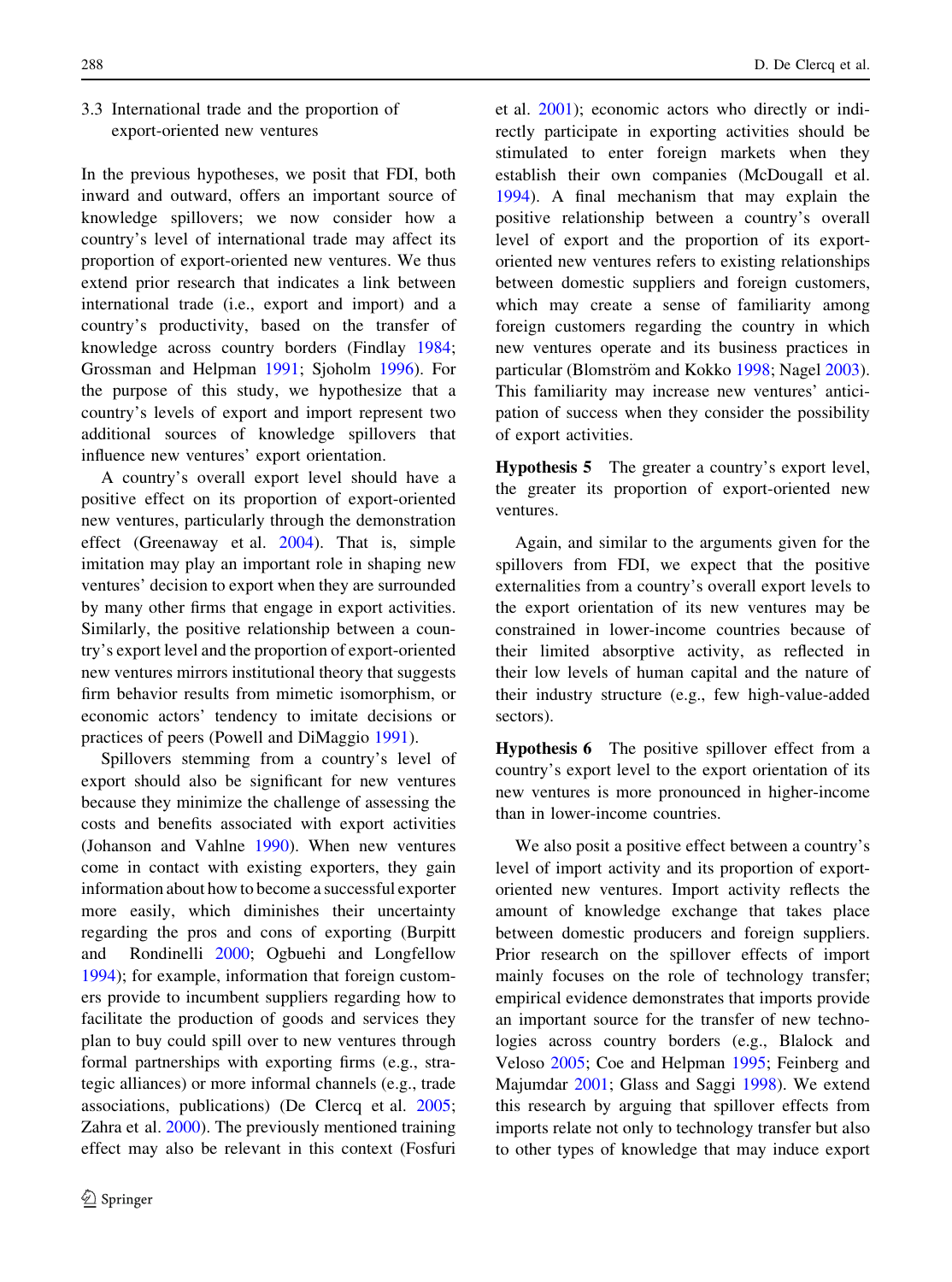## 3.3 International trade and the proportion of export-oriented new ventures

In the previous hypotheses, we posit that FDI, both inward and outward, offers an important source of knowledge spillovers; we now consider how a country's level of international trade may affect its proportion of export-oriented new ventures. We thus extend prior research that indicates a link between international trade (i.e., export and import) and a country's productivity, based on the transfer of knowledge across country borders (Findlay [1984](#page-18-0); Grossman and Helpman [1991](#page-18-0); Sjoholm [1996\)](#page-19-0). For the purpose of this study, we hypothesize that a country's levels of export and import represent two additional sources of knowledge spillovers that influence new ventures' export orientation.

A country's overall export level should have a positive effect on its proportion of export-oriented new ventures, particularly through the demonstration effect (Greenaway et al. [2004](#page-18-0)). That is, simple imitation may play an important role in shaping new ventures' decision to export when they are surrounded by many other firms that engage in export activities. Similarly, the positive relationship between a country's export level and the proportion of export-oriented new ventures mirrors institutional theory that suggests firm behavior results from mimetic isomorphism, or economic actors' tendency to imitate decisions or practices of peers (Powell and DiMaggio [1991](#page-19-0)).

Spillovers stemming from a country's level of export should also be significant for new ventures because they minimize the challenge of assessing the costs and benefits associated with export activities (Johanson and Vahlne [1990](#page-19-0)). When new ventures come in contact with existing exporters, they gain information about how to become a successful exporter more easily, which diminishes their uncertainty regarding the pros and cons of exporting (Burpitt and Rondinelli [2000;](#page-18-0) Ogbuehi and Longfellow [1994\)](#page-19-0); for example, information that foreign customers provide to incumbent suppliers regarding how to facilitate the production of goods and services they plan to buy could spill over to new ventures through formal partnerships with exporting firms (e.g., strategic alliances) or more informal channels (e.g., trade associations, publications) (De Clercq et al. [2005](#page-18-0); Zahra et al. [2000](#page-20-0)). The previously mentioned training effect may also be relevant in this context (Fosfuri

et al. [2001\)](#page-18-0); economic actors who directly or indirectly participate in exporting activities should be stimulated to enter foreign markets when they establish their own companies (McDougall et al. [1994\)](#page-19-0). A final mechanism that may explain the positive relationship between a country's overall level of export and the proportion of its exportoriented new ventures refers to existing relationships between domestic suppliers and foreign customers, which may create a sense of familiarity among foreign customers regarding the country in which new ventures operate and its business practices in particular (Blomström and Kokko [1998;](#page-17-0) Nagel [2003](#page-19-0)). This familiarity may increase new ventures' anticipation of success when they consider the possibility of export activities.

Hypothesis 5 The greater a country's export level, the greater its proportion of export-oriented new ventures.

Again, and similar to the arguments given for the spillovers from FDI, we expect that the positive externalities from a country's overall export levels to the export orientation of its new ventures may be constrained in lower-income countries because of their limited absorptive activity, as reflected in their low levels of human capital and the nature of their industry structure (e.g., few high-value-added sectors).

Hypothesis 6 The positive spillover effect from a country's export level to the export orientation of its new ventures is more pronounced in higher-income than in lower-income countries.

We also posit a positive effect between a country's level of import activity and its proportion of exportoriented new ventures. Import activity reflects the amount of knowledge exchange that takes place between domestic producers and foreign suppliers. Prior research on the spillover effects of import mainly focuses on the role of technology transfer; empirical evidence demonstrates that imports provide an important source for the transfer of new technologies across country borders (e.g., Blalock and Veloso [2005;](#page-17-0) Coe and Helpman [1995;](#page-18-0) Feinberg and Majumdar [2001](#page-18-0); Glass and Saggi [1998\)](#page-18-0). We extend this research by arguing that spillover effects from imports relate not only to technology transfer but also to other types of knowledge that may induce export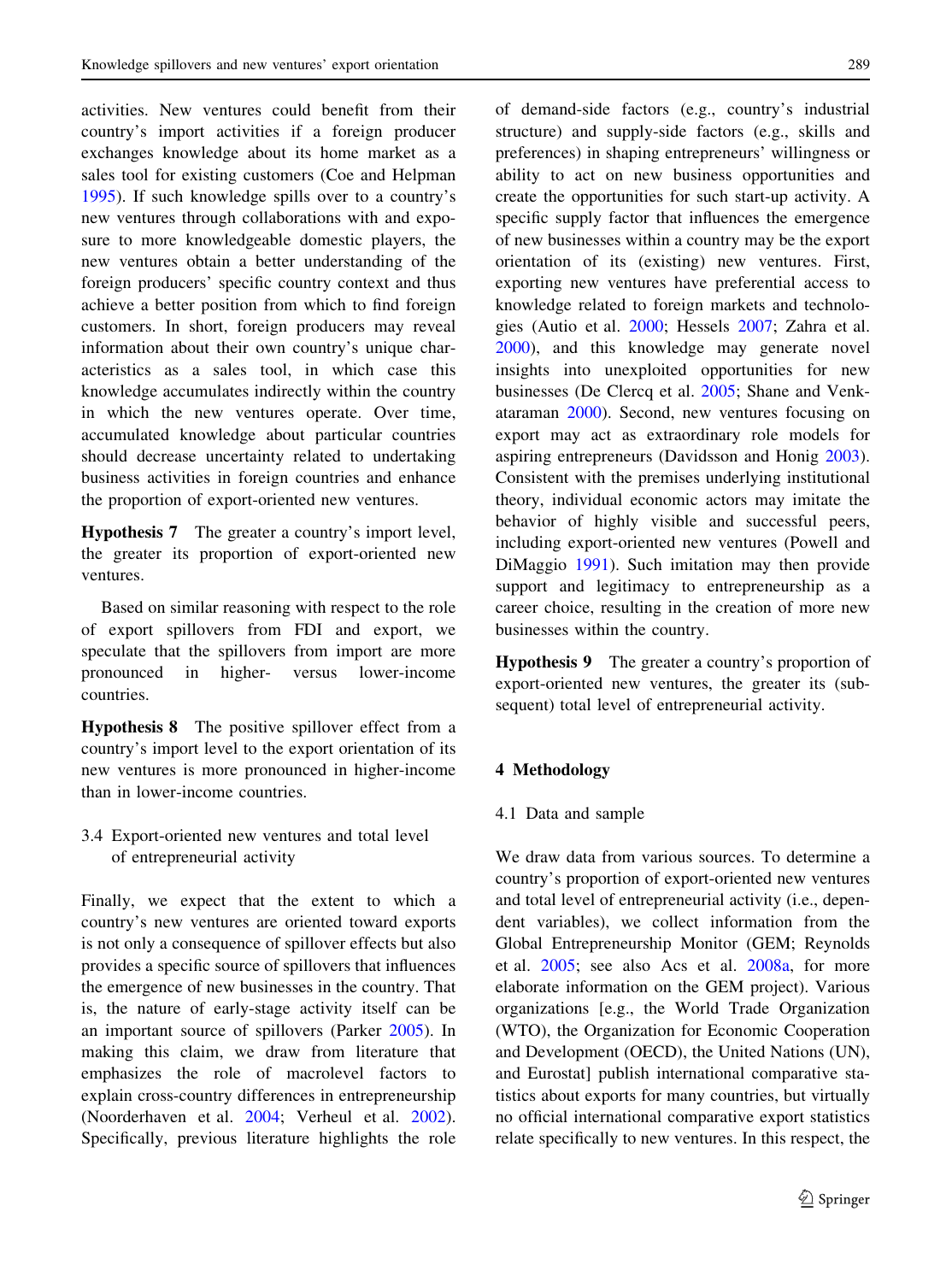activities. New ventures could benefit from their country's import activities if a foreign producer exchanges knowledge about its home market as a sales tool for existing customers (Coe and Helpman [1995\)](#page-18-0). If such knowledge spills over to a country's new ventures through collaborations with and exposure to more knowledgeable domestic players, the new ventures obtain a better understanding of the foreign producers' specific country context and thus achieve a better position from which to find foreign customers. In short, foreign producers may reveal information about their own country's unique characteristics as a sales tool, in which case this knowledge accumulates indirectly within the country in which the new ventures operate. Over time, accumulated knowledge about particular countries should decrease uncertainty related to undertaking business activities in foreign countries and enhance the proportion of export-oriented new ventures.

Hypothesis 7 The greater a country's import level, the greater its proportion of export-oriented new ventures.

Based on similar reasoning with respect to the role of export spillovers from FDI and export, we speculate that the spillovers from import are more pronounced in higher- versus lower-income countries.

Hypothesis 8 The positive spillover effect from a country's import level to the export orientation of its new ventures is more pronounced in higher-income than in lower-income countries.

3.4 Export-oriented new ventures and total level of entrepreneurial activity

Finally, we expect that the extent to which a country's new ventures are oriented toward exports is not only a consequence of spillover effects but also provides a specific source of spillovers that influences the emergence of new businesses in the country. That is, the nature of early-stage activity itself can be an important source of spillovers (Parker [2005\)](#page-19-0). In making this claim, we draw from literature that emphasizes the role of macrolevel factors to explain cross-country differences in entrepreneurship (Noorderhaven et al. [2004;](#page-19-0) Verheul et al. [2002](#page-20-0)). Specifically, previous literature highlights the role of demand-side factors (e.g., country's industrial structure) and supply-side factors (e.g., skills and preferences) in shaping entrepreneurs' willingness or ability to act on new business opportunities and create the opportunities for such start-up activity. A specific supply factor that influences the emergence of new businesses within a country may be the export orientation of its (existing) new ventures. First, exporting new ventures have preferential access to knowledge related to foreign markets and technologies (Autio et al. [2000;](#page-17-0) Hessels [2007](#page-18-0); Zahra et al. [2000\)](#page-20-0), and this knowledge may generate novel insights into unexploited opportunities for new businesses (De Clercq et al. [2005](#page-18-0); Shane and Venkataraman [2000\)](#page-19-0). Second, new ventures focusing on export may act as extraordinary role models for aspiring entrepreneurs (Davidsson and Honig [2003](#page-18-0)). Consistent with the premises underlying institutional theory, individual economic actors may imitate the behavior of highly visible and successful peers, including export-oriented new ventures (Powell and DiMaggio [1991](#page-19-0)). Such imitation may then provide support and legitimacy to entrepreneurship as a career choice, resulting in the creation of more new businesses within the country.

Hypothesis 9 The greater a country's proportion of export-oriented new ventures, the greater its (subsequent) total level of entrepreneurial activity.

#### 4 Methodology

#### 4.1 Data and sample

We draw data from various sources. To determine a country's proportion of export-oriented new ventures and total level of entrepreneurial activity (i.e., dependent variables), we collect information from the Global Entrepreneurship Monitor (GEM; Reynolds et al. [2005;](#page-19-0) see also Acs et al. [2008a](#page-17-0), for more elaborate information on the GEM project). Various organizations [e.g., the World Trade Organization (WTO), the Organization for Economic Cooperation and Development (OECD), the United Nations (UN), and Eurostat] publish international comparative statistics about exports for many countries, but virtually no official international comparative export statistics relate specifically to new ventures. In this respect, the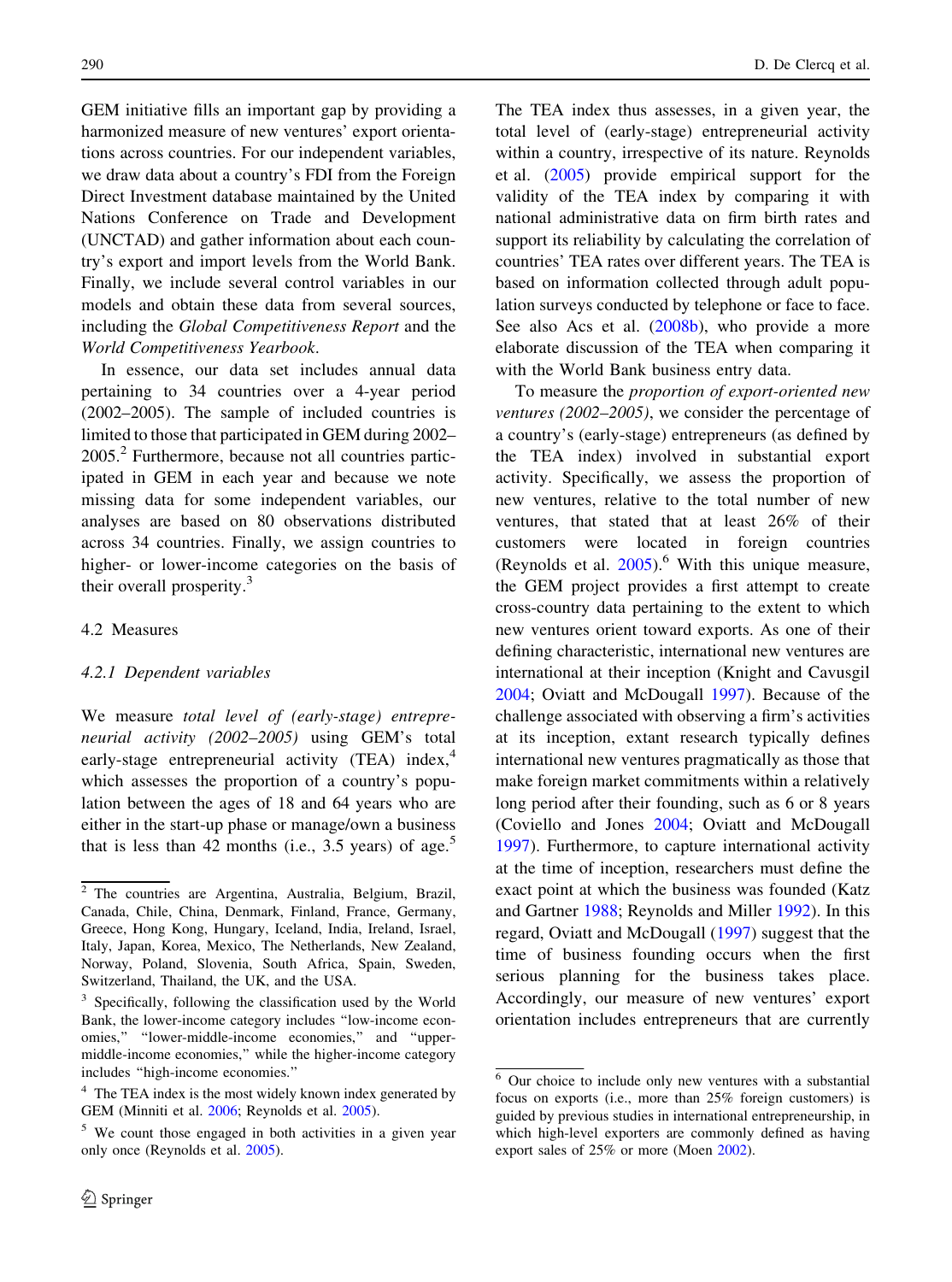GEM initiative fills an important gap by providing a harmonized measure of new ventures' export orientations across countries. For our independent variables, we draw data about a country's FDI from the Foreign Direct Investment database maintained by the United Nations Conference on Trade and Development (UNCTAD) and gather information about each country's export and import levels from the World Bank. Finally, we include several control variables in our models and obtain these data from several sources, including the Global Competitiveness Report and the World Competitiveness Yearbook.

In essence, our data set includes annual data pertaining to 34 countries over a 4-year period (2002–2005). The sample of included countries is limited to those that participated in GEM during 2002– 2005.<sup>2</sup> Furthermore, because not all countries participated in GEM in each year and because we note missing data for some independent variables, our analyses are based on 80 observations distributed across 34 countries. Finally, we assign countries to higher- or lower-income categories on the basis of their overall prosperity.<sup>3</sup>

## 4.2 Measures

#### 4.2.1 Dependent variables

We measure total level of (early-stage) entrepreneurial activity (2002–2005) using GEM's total early-stage entrepreneurial activity (TEA) index, $4$ which assesses the proportion of a country's population between the ages of 18 and 64 years who are either in the start-up phase or manage/own a business that is less than 42 months (i.e., 3.5 years) of age.<sup>5</sup>

The TEA index thus assesses, in a given year, the total level of (early-stage) entrepreneurial activity within a country, irrespective of its nature. Reynolds et al. [\(2005](#page-19-0)) provide empirical support for the validity of the TEA index by comparing it with national administrative data on firm birth rates and support its reliability by calculating the correlation of countries' TEA rates over different years. The TEA is based on information collected through adult population surveys conducted by telephone or face to face. See also Acs et al. ([2008b](#page-17-0)), who provide a more elaborate discussion of the TEA when comparing it with the World Bank business entry data.

To measure the proportion of export-oriented new ventures (2002–2005), we consider the percentage of a country's (early-stage) entrepreneurs (as defined by the TEA index) involved in substantial export activity. Specifically, we assess the proportion of new ventures, relative to the total number of new ventures, that stated that at least 26% of their customers were located in foreign countries (Reynolds et al.  $2005$ ).<sup>6</sup> With this unique measure, the GEM project provides a first attempt to create cross-country data pertaining to the extent to which new ventures orient toward exports. As one of their defining characteristic, international new ventures are international at their inception (Knight and Cavusgil [2004;](#page-19-0) Oviatt and McDougall [1997\)](#page-19-0). Because of the challenge associated with observing a firm's activities at its inception, extant research typically defines international new ventures pragmatically as those that make foreign market commitments within a relatively long period after their founding, such as 6 or 8 years (Coviello and Jones [2004;](#page-18-0) Oviatt and McDougall [1997\)](#page-19-0). Furthermore, to capture international activity at the time of inception, researchers must define the exact point at which the business was founded (Katz and Gartner [1988](#page-19-0); Reynolds and Miller [1992](#page-19-0)). In this regard, Oviatt and McDougall ([1997\)](#page-19-0) suggest that the time of business founding occurs when the first serious planning for the business takes place. Accordingly, our measure of new ventures' export orientation includes entrepreneurs that are currently

<sup>2</sup> The countries are Argentina, Australia, Belgium, Brazil, Canada, Chile, China, Denmark, Finland, France, Germany, Greece, Hong Kong, Hungary, Iceland, India, Ireland, Israel, Italy, Japan, Korea, Mexico, The Netherlands, New Zealand, Norway, Poland, Slovenia, South Africa, Spain, Sweden, Switzerland, Thailand, the UK, and the USA.

<sup>&</sup>lt;sup>3</sup> Specifically, following the classification used by the World Bank, the lower-income category includes ''low-income economies,'' ''lower-middle-income economies,'' and ''uppermiddle-income economies,'' while the higher-income category includes ''high-income economies.''

<sup>&</sup>lt;sup>4</sup> The TEA index is the most widely known index generated by GEM (Minniti et al. [2006;](#page-19-0) Reynolds et al. [2005\)](#page-19-0).

<sup>5</sup> We count those engaged in both activities in a given year only once (Reynolds et al. [2005](#page-19-0)).

<sup>6</sup> Our choice to include only new ventures with a substantial focus on exports (i.e., more than 25% foreign customers) is guided by previous studies in international entrepreneurship, in which high-level exporters are commonly defined as having export sales of 25% or more (Moen [2002\)](#page-19-0).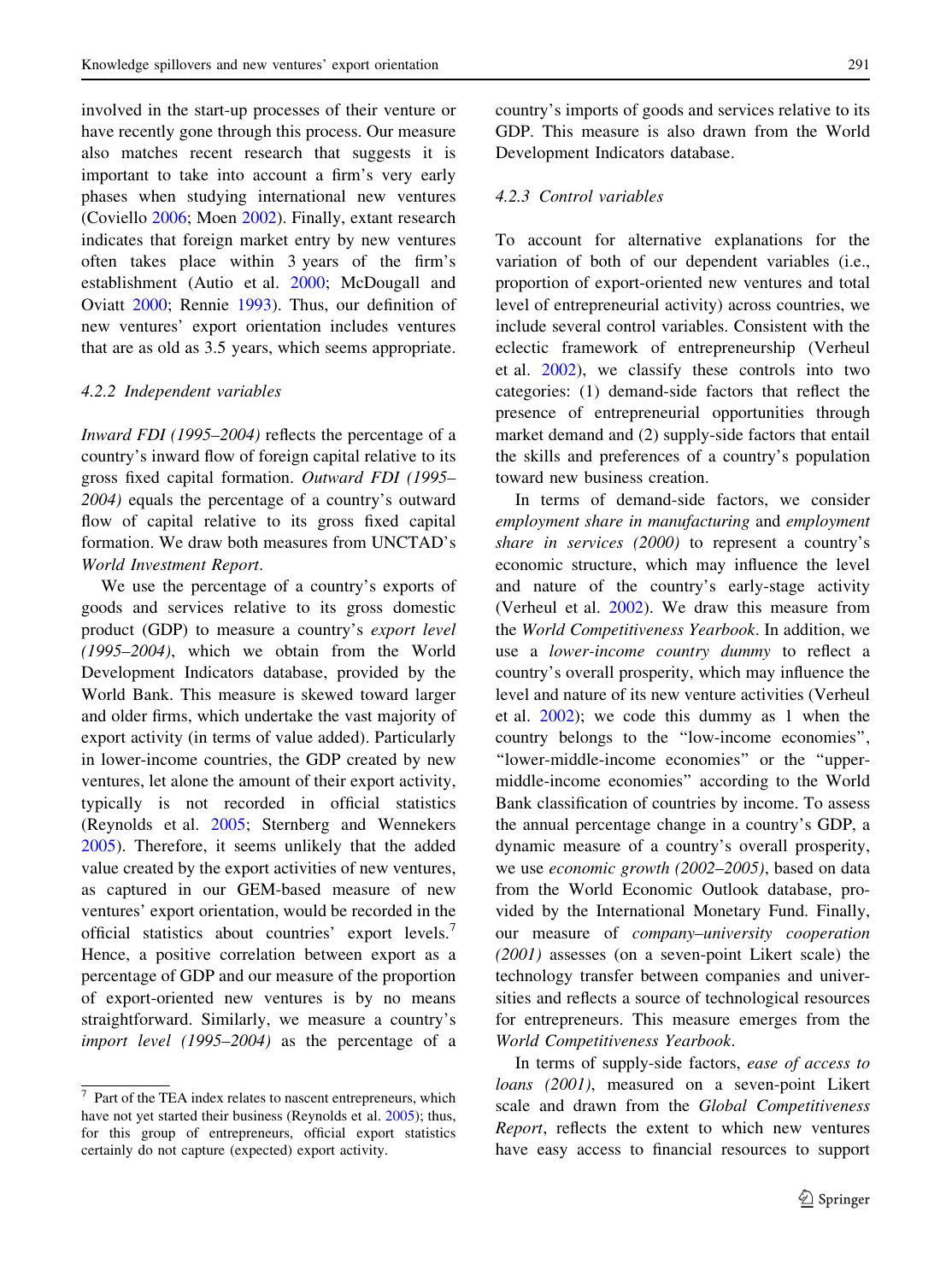involved in the start-up processes of their venture or have recently gone through this process. Our measure also matches recent research that suggests it is important to take into account a firm's very early phases when studying international new ventures (Coviello [2006](#page-18-0); Moen [2002](#page-19-0)). Finally, extant research indicates that foreign market entry by new ventures often takes place within 3 years of the firm's establishment (Autio et al. [2000;](#page-17-0) McDougall and Oviatt [2000](#page-19-0); Rennie [1993](#page-19-0)). Thus, our definition of new ventures' export orientation includes ventures that are as old as 3.5 years, which seems appropriate.

#### 4.2.2 Independent variables

Inward FDI (1995–2004) reflects the percentage of a country's inward flow of foreign capital relative to its gross fixed capital formation. Outward FDI (1995– 2004) equals the percentage of a country's outward flow of capital relative to its gross fixed capital formation. We draw both measures from UNCTAD's World Investment Report.

We use the percentage of a country's exports of goods and services relative to its gross domestic product (GDP) to measure a country's export level (1995–2004), which we obtain from the World Development Indicators database, provided by the World Bank. This measure is skewed toward larger and older firms, which undertake the vast majority of export activity (in terms of value added). Particularly in lower-income countries, the GDP created by new ventures, let alone the amount of their export activity, typically is not recorded in official statistics (Reynolds et al. [2005](#page-19-0); Sternberg and Wennekers [2005\)](#page-19-0). Therefore, it seems unlikely that the added value created by the export activities of new ventures, as captured in our GEM-based measure of new ventures' export orientation, would be recorded in the official statistics about countries' export levels.<sup>7</sup> Hence, a positive correlation between export as a percentage of GDP and our measure of the proportion of export-oriented new ventures is by no means straightforward. Similarly, we measure a country's import level (1995–2004) as the percentage of a

country's imports of goods and services relative to its GDP. This measure is also drawn from the World Development Indicators database.

## 4.2.3 Control variables

To account for alternative explanations for the variation of both of our dependent variables (i.e., proportion of export-oriented new ventures and total level of entrepreneurial activity) across countries, we include several control variables. Consistent with the eclectic framework of entrepreneurship (Verheul et al. [2002](#page-20-0)), we classify these controls into two categories: (1) demand-side factors that reflect the presence of entrepreneurial opportunities through market demand and (2) supply-side factors that entail the skills and preferences of a country's population toward new business creation.

In terms of demand-side factors, we consider employment share in manufacturing and employment share in services (2000) to represent a country's economic structure, which may influence the level and nature of the country's early-stage activity (Verheul et al. [2002](#page-20-0)). We draw this measure from the World Competitiveness Yearbook. In addition, we use a lower-income country dummy to reflect a country's overall prosperity, which may influence the level and nature of its new venture activities (Verheul et al. [2002](#page-20-0)); we code this dummy as 1 when the country belongs to the ''low-income economies'', ''lower-middle-income economies'' or the ''uppermiddle-income economies'' according to the World Bank classification of countries by income. To assess the annual percentage change in a country's GDP, a dynamic measure of a country's overall prosperity, we use economic growth (2002–2005), based on data from the World Economic Outlook database, provided by the International Monetary Fund. Finally, our measure of company–university cooperation (2001) assesses (on a seven-point Likert scale) the technology transfer between companies and universities and reflects a source of technological resources for entrepreneurs. This measure emerges from the World Competitiveness Yearbook.

In terms of supply-side factors, ease of access to loans (2001), measured on a seven-point Likert scale and drawn from the Global Competitiveness Report, reflects the extent to which new ventures have easy access to financial resources to support

 $\frac{7}{7}$  Part of the TEA index relates to nascent entrepreneurs, which have not yet started their business (Reynolds et al. [2005](#page-19-0)); thus, for this group of entrepreneurs, official export statistics certainly do not capture (expected) export activity.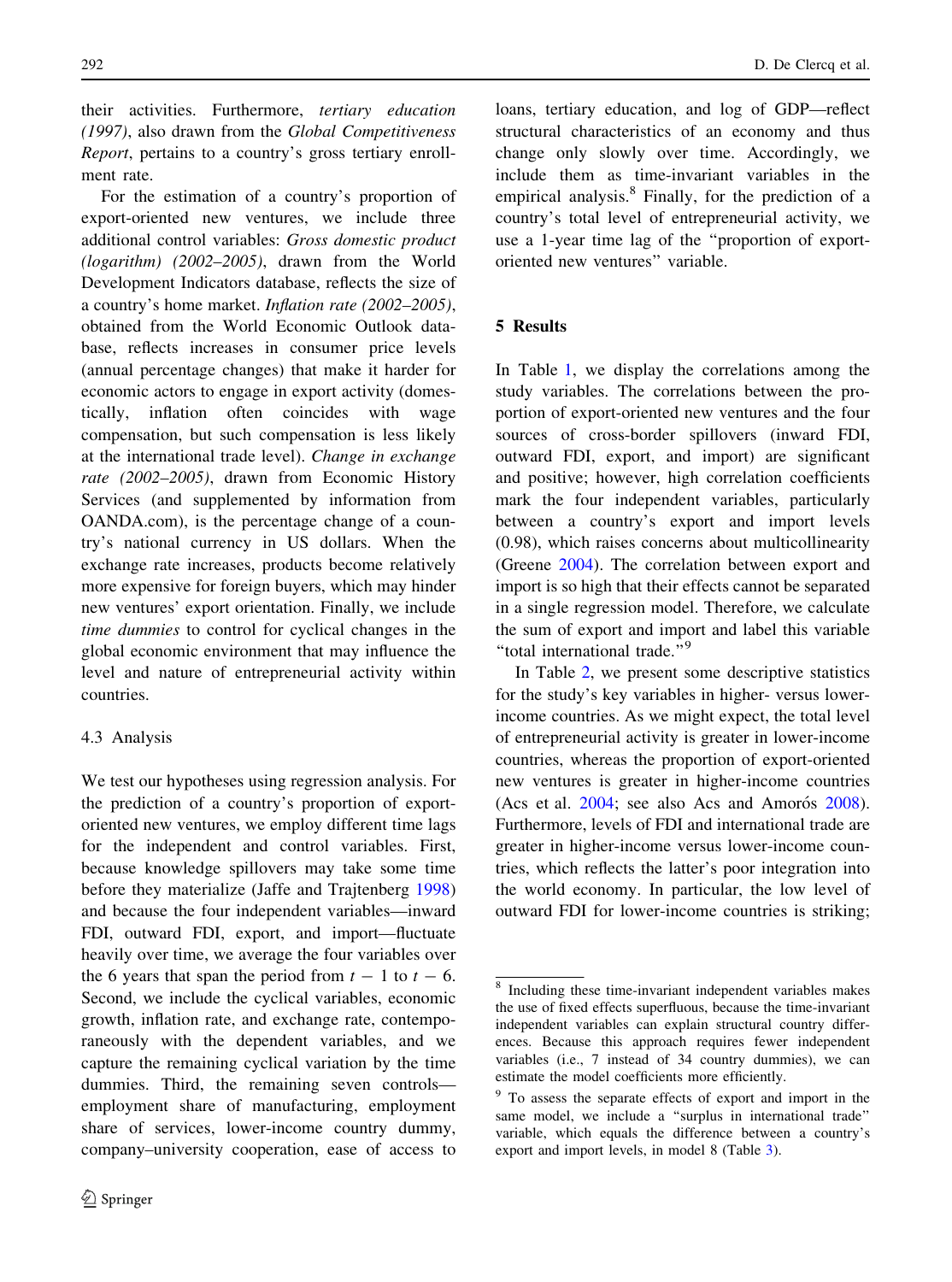their activities. Furthermore, tertiary education (1997), also drawn from the Global Competitiveness Report, pertains to a country's gross tertiary enrollment rate.

For the estimation of a country's proportion of export-oriented new ventures, we include three additional control variables: Gross domestic product (logarithm) (2002–2005), drawn from the World Development Indicators database, reflects the size of a country's home market. Inflation rate (2002–2005), obtained from the World Economic Outlook database, reflects increases in consumer price levels (annual percentage changes) that make it harder for economic actors to engage in export activity (domestically, inflation often coincides with wage compensation, but such compensation is less likely at the international trade level). Change in exchange rate (2002–2005), drawn from Economic History Services (and supplemented by information from OANDA.com), is the percentage change of a country's national currency in US dollars. When the exchange rate increases, products become relatively more expensive for foreign buyers, which may hinder new ventures' export orientation. Finally, we include time dummies to control for cyclical changes in the global economic environment that may influence the level and nature of entrepreneurial activity within countries.

#### 4.3 Analysis

We test our hypotheses using regression analysis. For the prediction of a country's proportion of exportoriented new ventures, we employ different time lags for the independent and control variables. First, because knowledge spillovers may take some time before they materialize (Jaffe and Trajtenberg [1998\)](#page-18-0) and because the four independent variables—inward FDI, outward FDI, export, and import—fluctuate heavily over time, we average the four variables over the 6 years that span the period from  $t - 1$  to  $t - 6$ . Second, we include the cyclical variables, economic growth, inflation rate, and exchange rate, contemporaneously with the dependent variables, and we capture the remaining cyclical variation by the time dummies. Third, the remaining seven controls employment share of manufacturing, employment share of services, lower-income country dummy, company–university cooperation, ease of access to

loans, tertiary education, and log of GDP—reflect structural characteristics of an economy and thus change only slowly over time. Accordingly, we include them as time-invariant variables in the empirical analysis.<sup>8</sup> Finally, for the prediction of a country's total level of entrepreneurial activity, we use a 1-year time lag of the ''proportion of exportoriented new ventures'' variable.

## 5 Results

In Table [1](#page-10-0), we display the correlations among the study variables. The correlations between the proportion of export-oriented new ventures and the four sources of cross-border spillovers (inward FDI, outward FDI, export, and import) are significant and positive; however, high correlation coefficients mark the four independent variables, particularly between a country's export and import levels (0.98), which raises concerns about multicollinearity (Greene [2004](#page-18-0)). The correlation between export and import is so high that their effects cannot be separated in a single regression model. Therefore, we calculate the sum of export and import and label this variable ''total international trade.''<sup>9</sup>

In Table [2](#page-11-0), we present some descriptive statistics for the study's key variables in higher- versus lowerincome countries. As we might expect, the total level of entrepreneurial activity is greater in lower-income countries, whereas the proportion of export-oriented new ventures is greater in higher-income countries (Acs et al.  $2004$ ; see also Acs and Amorós  $2008$ ). Furthermore, levels of FDI and international trade are greater in higher-income versus lower-income countries, which reflects the latter's poor integration into the world economy. In particular, the low level of outward FDI for lower-income countries is striking;

<sup>8</sup> Including these time-invariant independent variables makes the use of fixed effects superfluous, because the time-invariant independent variables can explain structural country differences. Because this approach requires fewer independent variables (i.e., 7 instead of 34 country dummies), we can estimate the model coefficients more efficiently.

<sup>9</sup> To assess the separate effects of export and import in the same model, we include a ''surplus in international trade'' variable, which equals the difference between a country's export and import levels, in model 8 (Table [3\)](#page-12-0).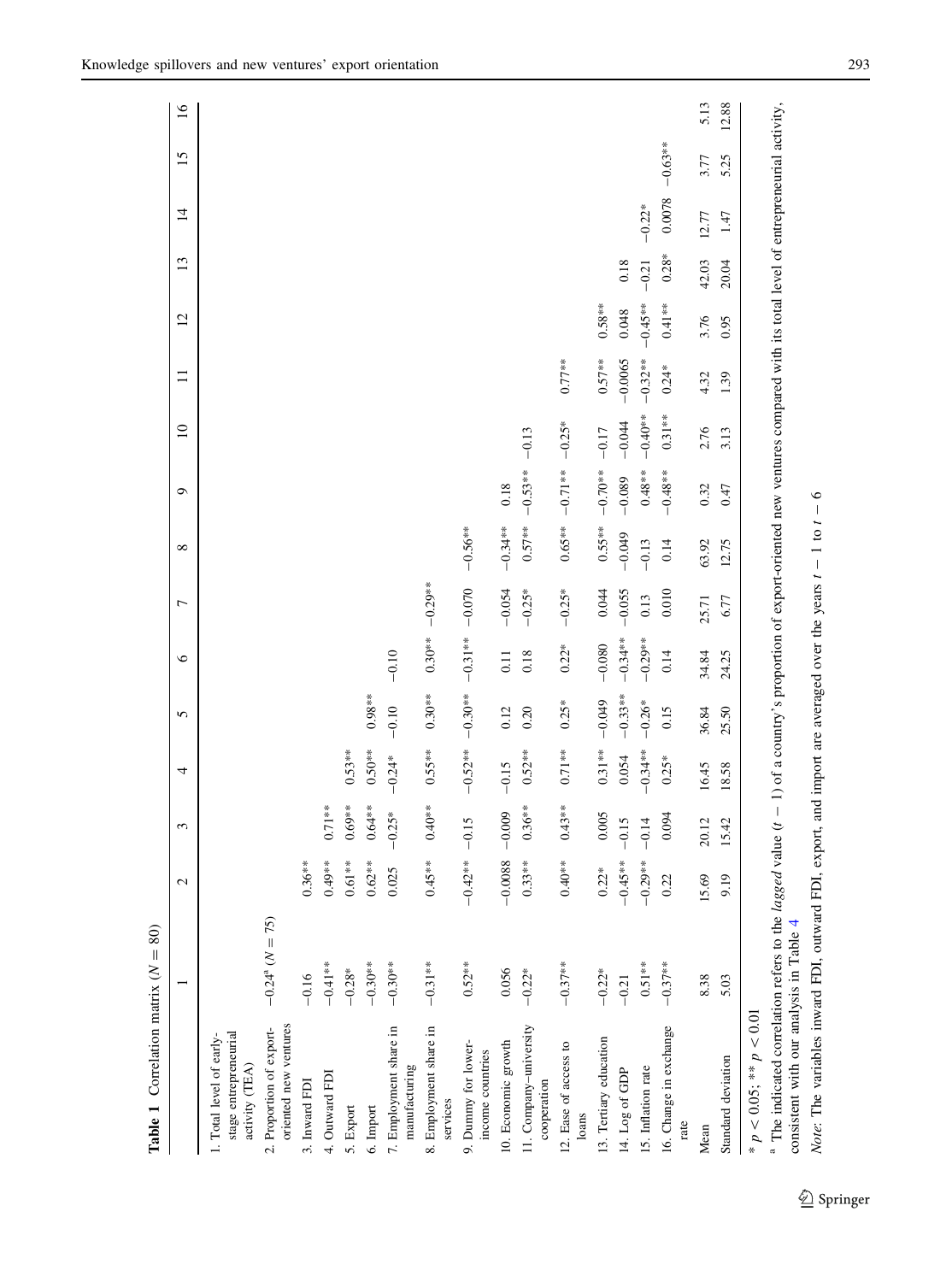<span id="page-10-0"></span>

| Table 1 Correlation matrix $(N =$                                                                                                                                                                                                                  | 80)                               |              |          |           |           |           |                |           |           |                 |           |           |         |                |           |                 |
|----------------------------------------------------------------------------------------------------------------------------------------------------------------------------------------------------------------------------------------------------|-----------------------------------|--------------|----------|-----------|-----------|-----------|----------------|-----------|-----------|-----------------|-----------|-----------|---------|----------------|-----------|-----------------|
|                                                                                                                                                                                                                                                    |                                   | $\mathbf{C}$ | 3        | 4         | 5         | $\circ$   | $\overline{ }$ | $\infty$  | $\circ$   | $\overline{10}$ | $\Box$    | 12        | 13      | $\overline{1}$ | 15        | $\overline{16}$ |
| stage entrepreneurial<br>1. Total level of early-<br>activity (TEA)                                                                                                                                                                                |                                   |              |          |           |           |           |                |           |           |                 |           |           |         |                |           |                 |
| oriented new ventures<br>2. Proportion of export-                                                                                                                                                                                                  | $-0.24$ <sup>a</sup> ( $N = 75$ ) |              |          |           |           |           |                |           |           |                 |           |           |         |                |           |                 |
| 3. Inward FDI                                                                                                                                                                                                                                      | $-0.16$                           | $0.36**$     |          |           |           |           |                |           |           |                 |           |           |         |                |           |                 |
| 4. Outward FDI                                                                                                                                                                                                                                     | $-0.41**$                         | $0.49**$     | $0.71**$ |           |           |           |                |           |           |                 |           |           |         |                |           |                 |
| 5. Export                                                                                                                                                                                                                                          | $-0.28*$                          | $0.61**$     | $0.69**$ | $0.53**$  |           |           |                |           |           |                 |           |           |         |                |           |                 |
| 6. Import                                                                                                                                                                                                                                          | $-0.30**$                         | $0.62**$     | $0.64**$ | $0.50**$  | $0.98***$ |           |                |           |           |                 |           |           |         |                |           |                 |
| 7. Employment share in<br>manufacturing                                                                                                                                                                                                            | $-0.30**$                         | 0.025        | $-0.25*$ | $-0.24*$  | $-0.10$   | $-0.10$   |                |           |           |                 |           |           |         |                |           |                 |
| 8. Employment share in<br>services                                                                                                                                                                                                                 | $-0.31**$                         | $0.45**$     | $0.40**$ | $0.55**$  | $0.30**$  | $0.30**$  | $-0.29**$      |           |           |                 |           |           |         |                |           |                 |
| 9. Dummy for lower-<br>income countries                                                                                                                                                                                                            | $0.52***$                         | $-0.42**$    | $-0.15$  | $-0.52**$ | $-0.30**$ | $-0.31**$ | $-0.070$       | $-0.56**$ |           |                 |           |           |         |                |           |                 |
| 10. Economic growth                                                                                                                                                                                                                                | 0.056                             | $-0.0088$    | $-0.009$ | $-0.15$   | 0.12      | 0.11      | $-0.054$       | $-0.34**$ | 0.18      |                 |           |           |         |                |           |                 |
| 11. Company-university<br>cooperation                                                                                                                                                                                                              | $-0.22*$                          | $0.33**$     | $0.36**$ | $0.52***$ | 0.20      | 0.18      | $-0.25*$       | $0.57***$ | $-0.53**$ | $-0.13$         |           |           |         |                |           |                 |
| 12. Ease of access to<br>loans                                                                                                                                                                                                                     | $-0.37**$                         | $0.40**$     | $0.43**$ | $0.71**$  | $0.25*$   | $0.22*$   | $-0.25*$       | $0.65**$  | $-0.71**$ | $-0.25*$        | $0.77***$ |           |         |                |           |                 |
| 13. Tertiary education                                                                                                                                                                                                                             | $-0.22*$                          | $0.22*$      | 0.005    | $0.31**$  | $-0.049$  | $-0.080$  | 0.044          | $0.55**$  | $-0.70**$ | $-0.17$         | $0.57***$ | $0.58**$  |         |                |           |                 |
| 14. Log of GDP                                                                                                                                                                                                                                     | $-0.21$                           | $-0.45**$    | $-0.15$  | 0.054     | $-0.33**$ | $-0.34**$ | $-0.055$       | $-0.049$  | $-0.089$  | $-0.044$        | $-0.0065$ | 0.048     | 0.18    |                |           |                 |
| 15. Inflation rate                                                                                                                                                                                                                                 | $0.51**$                          | $-0.29**$    | $-0.14$  | $-0.34**$ | $-0.26*$  | $-0.29**$ | 0.13           | $-0.13$   | $0.48***$ | $-0.40**$       | $-0.32**$ | $-0.45**$ | $-0.21$ | $-0.22*$       |           |                 |
| 16. Change in exchange<br>rate                                                                                                                                                                                                                     | $-0.37**$                         | 0.22         | 0.094    | $0.25*$   | 0.15      | 0.14      | 0.010          | 0.14      | $-0.48**$ | $0.31**$        | $0.24*$   | $0.41**$  | $0.28*$ | 0.0078         | $-0.63**$ |                 |
| Mean                                                                                                                                                                                                                                               | 8.38                              | 15.69        | 20.12    | 16.45     | 36.84     | 34.84     | 25.71          | 63.92     | 0.32      | 2.76            | 4.32      | 3.76      | 42.03   | 12.77          | 3.77      | 5.13            |
| Standard deviation                                                                                                                                                                                                                                 | 5.03                              | 9.19         | 15.42    | 18.58     | 25.50     | 24.25     | 6.77           | 12.75     | 0.47      | 3.13            | 1.39      | 0.95      | 20.04   | 1.47           | 5.25      | 12.88           |
| * $p < 0.05$ ; ** $p < 0.01$                                                                                                                                                                                                                       |                                   |              |          |           |           |           |                |           |           |                 |           |           |         |                |           |                 |
| <sup>a</sup> The indicated correlation refers to the <i>lagged</i> value $(t - 1)$ of a country's proportion of export-oriented new ventures compared with its total level of entrepreneurial activity,<br>consistent with our analysis in Table 4 |                                   |              |          |           |           |           |                |           |           |                 |           |           |         |                |           |                 |
| <i>Note:</i> The variables inward FDI, outward FDI, export, and import are averaged over the years $t - 1$ to $t - 6$                                                                                                                              |                                   |              |          |           |           |           |                |           |           |                 |           |           |         |                |           |                 |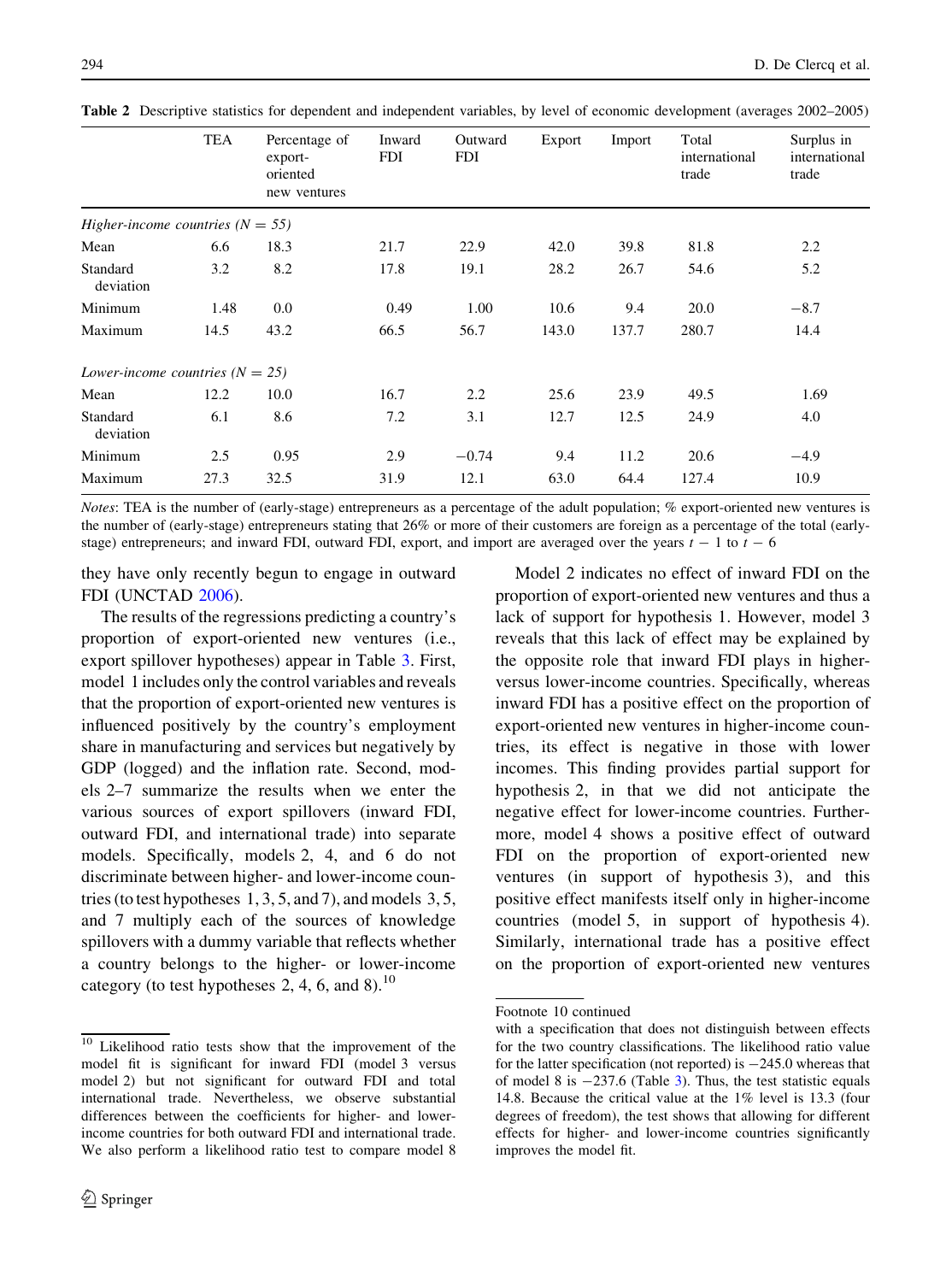|                                      | TEA  | Percentage of<br>export-<br>oriented<br>new ventures | Inward<br><b>FDI</b> | Outward<br><b>FDI</b> | Export | Import | Total<br>international<br>trade | Surplus in<br>international<br>trade |
|--------------------------------------|------|------------------------------------------------------|----------------------|-----------------------|--------|--------|---------------------------------|--------------------------------------|
| Higher-income countries ( $N = 55$ ) |      |                                                      |                      |                       |        |        |                                 |                                      |
| Mean                                 | 6.6  | 18.3                                                 | 21.7                 | 22.9                  | 42.0   | 39.8   | 81.8                            | 2.2                                  |
| Standard<br>deviation                | 3.2  | 8.2                                                  | 17.8                 | 19.1                  | 28.2   | 26.7   | 54.6                            | 5.2                                  |
| Minimum                              | 1.48 | 0.0                                                  | 0.49                 | 1.00                  | 10.6   | 9.4    | 20.0                            | $-8.7$                               |
| Maximum                              | 14.5 | 43.2                                                 | 66.5                 | 56.7                  | 143.0  | 137.7  | 280.7                           | 14.4                                 |
| Lower-income countries $(N = 25)$    |      |                                                      |                      |                       |        |        |                                 |                                      |
| Mean                                 | 12.2 | 10.0                                                 | 16.7                 | 2.2                   | 25.6   | 23.9   | 49.5                            | 1.69                                 |
| Standard<br>deviation                | 6.1  | 8.6                                                  | 7.2                  | 3.1                   | 12.7   | 12.5   | 24.9                            | 4.0                                  |
| Minimum                              | 2.5  | 0.95                                                 | 2.9                  | $-0.74$               | 9.4    | 11.2   | 20.6                            | $-4.9$                               |
| Maximum                              | 27.3 | 32.5                                                 | 31.9                 | 12.1                  | 63.0   | 64.4   | 127.4                           | 10.9                                 |

<span id="page-11-0"></span>Table 2 Descriptive statistics for dependent and independent variables, by level of economic development (averages 2002–2005)

Notes: TEA is the number of (early-stage) entrepreneurs as a percentage of the adult population; % export-oriented new ventures is the number of (early-stage) entrepreneurs stating that 26% or more of their customers are foreign as a percentage of the total (earlystage) entrepreneurs; and inward FDI, outward FDI, export, and import are averaged over the years  $t - 1$  to  $t - 6$ 

they have only recently begun to engage in outward FDI (UNCTAD [2006](#page-20-0)).

The results of the regressions predicting a country's proportion of export-oriented new ventures (i.e., export spillover hypotheses) appear in Table [3.](#page-12-0) First, model 1 includes only the control variables and reveals that the proportion of export-oriented new ventures is influenced positively by the country's employment share in manufacturing and services but negatively by GDP (logged) and the inflation rate. Second, models 2–7 summarize the results when we enter the various sources of export spillovers (inward FDI, outward FDI, and international trade) into separate models. Specifically, models 2, 4, and 6 do not discriminate between higher- and lower-income countries (to test hypotheses 1, 3, 5, and 7), and models 3, 5, and 7 multiply each of the sources of knowledge spillovers with a dummy variable that reflects whether a country belongs to the higher- or lower-income category (to test hypotheses  $2, 4, 6$ , and  $8$ ).<sup>10</sup>

Model 2 indicates no effect of inward FDI on the proportion of export-oriented new ventures and thus a lack of support for hypothesis 1. However, model 3 reveals that this lack of effect may be explained by the opposite role that inward FDI plays in higherversus lower-income countries. Specifically, whereas inward FDI has a positive effect on the proportion of export-oriented new ventures in higher-income countries, its effect is negative in those with lower incomes. This finding provides partial support for hypothesis 2, in that we did not anticipate the negative effect for lower-income countries. Furthermore, model 4 shows a positive effect of outward FDI on the proportion of export-oriented new ventures (in support of hypothesis 3), and this positive effect manifests itself only in higher-income countries (model 5, in support of hypothesis 4). Similarly, international trade has a positive effect on the proportion of export-oriented new ventures

 $\frac{10}{10}$  Likelihood ratio tests show that the improvement of the model fit is significant for inward FDI (model 3 versus model 2) but not significant for outward FDI and total international trade. Nevertheless, we observe substantial differences between the coefficients for higher- and lowerincome countries for both outward FDI and international trade. We also perform a likelihood ratio test to compare model 8

Footnote 10 continued

with a specification that does not distinguish between effects for the two country classifications. The likelihood ratio value for the latter specification (not reported) is  $-245.0$  whereas that of model 8 is  $-237.6$  $-237.6$  $-237.6$  (Table 3). Thus, the test statistic equals 14.8. Because the critical value at the 1% level is 13.3 (four degrees of freedom), the test shows that allowing for different effects for higher- and lower-income countries significantly improves the model fit.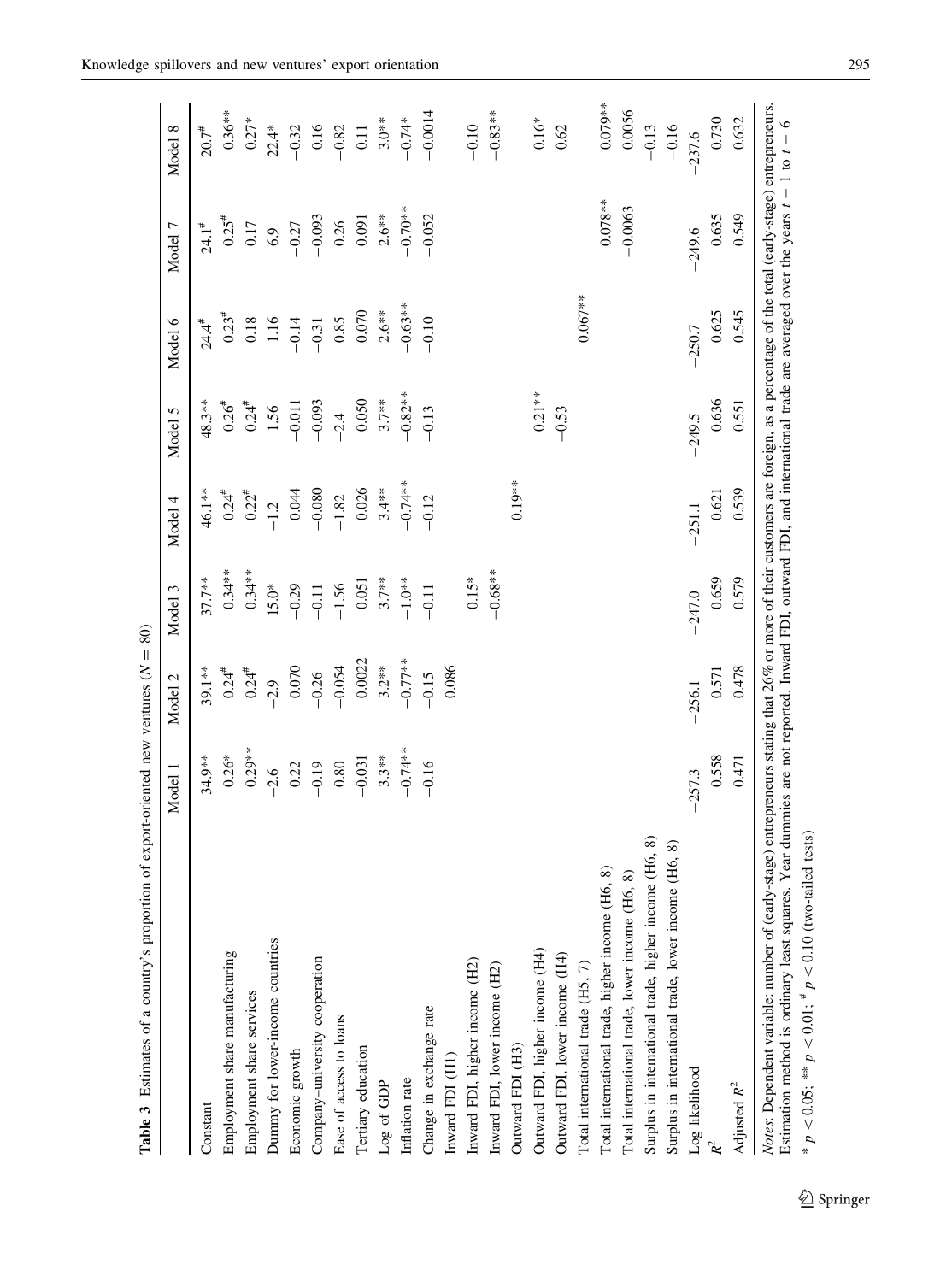<span id="page-12-0"></span>

|                                                                                                                                                                                                                                     | Model 1    | Model 2             | Model 3   | Model 4             | Model 5             | Model 6             | Model 7                                                                                                                        | Model 8             |
|-------------------------------------------------------------------------------------------------------------------------------------------------------------------------------------------------------------------------------------|------------|---------------------|-----------|---------------------|---------------------|---------------------|--------------------------------------------------------------------------------------------------------------------------------|---------------------|
| Constant                                                                                                                                                                                                                            | 34.9**     | 39.1**              | $37.7**$  | 46.1**              | 48.3**              | $24.4$ <sup>#</sup> | $24.1$ <sup>#</sup>                                                                                                            | $20.7$ <sup>#</sup> |
| Employment share manufacturing                                                                                                                                                                                                      | $0.26*$    | $0.24$ <sup>#</sup> | $0.34***$ | $0.24$ <sup>#</sup> | $0.26^{*}$          | $0.23$ <sup>#</sup> | $0.25^{*}$                                                                                                                     | $0.36***$           |
| Employment share services                                                                                                                                                                                                           | $0.29**$   | $0.24$ <sup>#</sup> | $0.34***$ | $0.22^{*}$          | $0.24$ <sup>#</sup> | 0.18                | $0.17\,$                                                                                                                       | $0.27*$             |
| Dummy for lower-income countries                                                                                                                                                                                                    | $-2.6$     | $-2.9$              | $15.0*$   | $-1.2$              | 1.56                | 1.16                | 6.9                                                                                                                            | $22.4*$             |
| Economic growth                                                                                                                                                                                                                     | 0.22       | 0.070               | $-0.29$   | 0.044               | $-0.011$            | $-0.14$             | $-0.27$                                                                                                                        | $-0.32$             |
| Company-university cooperation                                                                                                                                                                                                      | $-0.19$    | $-0.26$             | $-0.11$   | $-0.080$            | $-0.093$            | $-0.31$             | $-0.093$                                                                                                                       | 0.16                |
| Ease of access to loans                                                                                                                                                                                                             | $\!0.80\!$ | $-0.054$            | $-1.56$   | $-1.82$             | $-2.4$              | $0.85\,$            | 0.26                                                                                                                           | $-0.82$             |
| Tertiary education                                                                                                                                                                                                                  | $-0.031$   | 0.0022              | 0.051     | 0.026               | 0.050               | 0.070               | 0.091                                                                                                                          | 0.11                |
| Log of GDP                                                                                                                                                                                                                          | $-3.3***$  | $-3.2***$           | $-3.7***$ | $-3.4***$           | $-3.7**$            | $-2.6**$            | $-2.6***$                                                                                                                      | $-3.0**$            |
| Inflation rate                                                                                                                                                                                                                      | $-0.74**$  | $-0.77**$           | $-1.0**$  | $-0.74**$           | $-0.82**$           | $-0.63***$          | $-0.70**$                                                                                                                      | $-0.74*$            |
| Change in exchange rate                                                                                                                                                                                                             | $-0.16$    | $-0.15$             | $-0.11$   | $-0.12$             | $-0.13$             | $-0.10$             | $-0.052$                                                                                                                       | $-0.0014$           |
| Inward FDI (H1)                                                                                                                                                                                                                     |            | 0.086               |           |                     |                     |                     |                                                                                                                                |                     |
| Inward FDI, higher income (H2)                                                                                                                                                                                                      |            |                     | $0.15*$   |                     |                     |                     |                                                                                                                                | $-0.10$             |
| Inward FDI, lower income (H2)                                                                                                                                                                                                       |            |                     | $-0.68**$ |                     |                     |                     |                                                                                                                                | $-0.83**$           |
| Outward FDI (H3)                                                                                                                                                                                                                    |            |                     |           | $0.19***$           |                     |                     |                                                                                                                                |                     |
| Outward FDI, higher income (H4)                                                                                                                                                                                                     |            |                     |           |                     | $0.21**$            |                     |                                                                                                                                | $0.16*$             |
| Outward FDI, lower income (H4)                                                                                                                                                                                                      |            |                     |           |                     | $-0.53$             |                     |                                                                                                                                | 0.62                |
| Total international trade (H5, 7)                                                                                                                                                                                                   |            |                     |           |                     |                     | $0.067***$          |                                                                                                                                |                     |
| $\circledast$<br>Total international trade, higher income (H6,                                                                                                                                                                      |            |                     |           |                     |                     |                     | $0.078**$                                                                                                                      | $0.079***$          |
| Total international trade, lower income (H6, 8)                                                                                                                                                                                     |            |                     |           |                     |                     |                     | $-0.0063$                                                                                                                      | 0.0056              |
| (H6, 8)<br>Surplus in international trade, higher income                                                                                                                                                                            |            |                     |           |                     |                     |                     |                                                                                                                                | $-0.13$             |
| Surplus in international trade, lower income (H6, 8)                                                                                                                                                                                |            |                     |           |                     |                     |                     |                                                                                                                                | $-0.16$             |
| Log likelihood                                                                                                                                                                                                                      | $-257.3$   | $-256.1$            | $-247.0$  | $-251.1$            | $-249.5$            | $-250.7$            | $-249.6$                                                                                                                       | $-237.6$            |
|                                                                                                                                                                                                                                     | 0.558      | 0.571               | 0.659     | 0.621               | 0.636               | 0.625               | 0.635                                                                                                                          | 0.730               |
| Adjusted $R^2$                                                                                                                                                                                                                      | 0.471      | 0.478               | 0.579     | 0.539               | 0.551               | 0.545               | 0.549                                                                                                                          | 0.632               |
| Notes: Dependent variable: number of (early-stage) entrepreneurs stating that 26% or more of their customers are foreign, as a percentage of the total (early-stage) entrepreneurs.<br>Estimation method is ordinary least squares. |            |                     |           |                     |                     |                     | Year dummies are not reported. Inward FDI, outward FDI, and international trade are averaged over the years $t - 1$ to $t - 6$ |                     |

Table 3 Estimates of a country's proportion of export-oriented new ventures (

N = 80)

\* p

 $< 0.05$ : \*\*

 $p < 0.01$ ; #  $p$ 

 $< 0.10$  (two-tailed tests)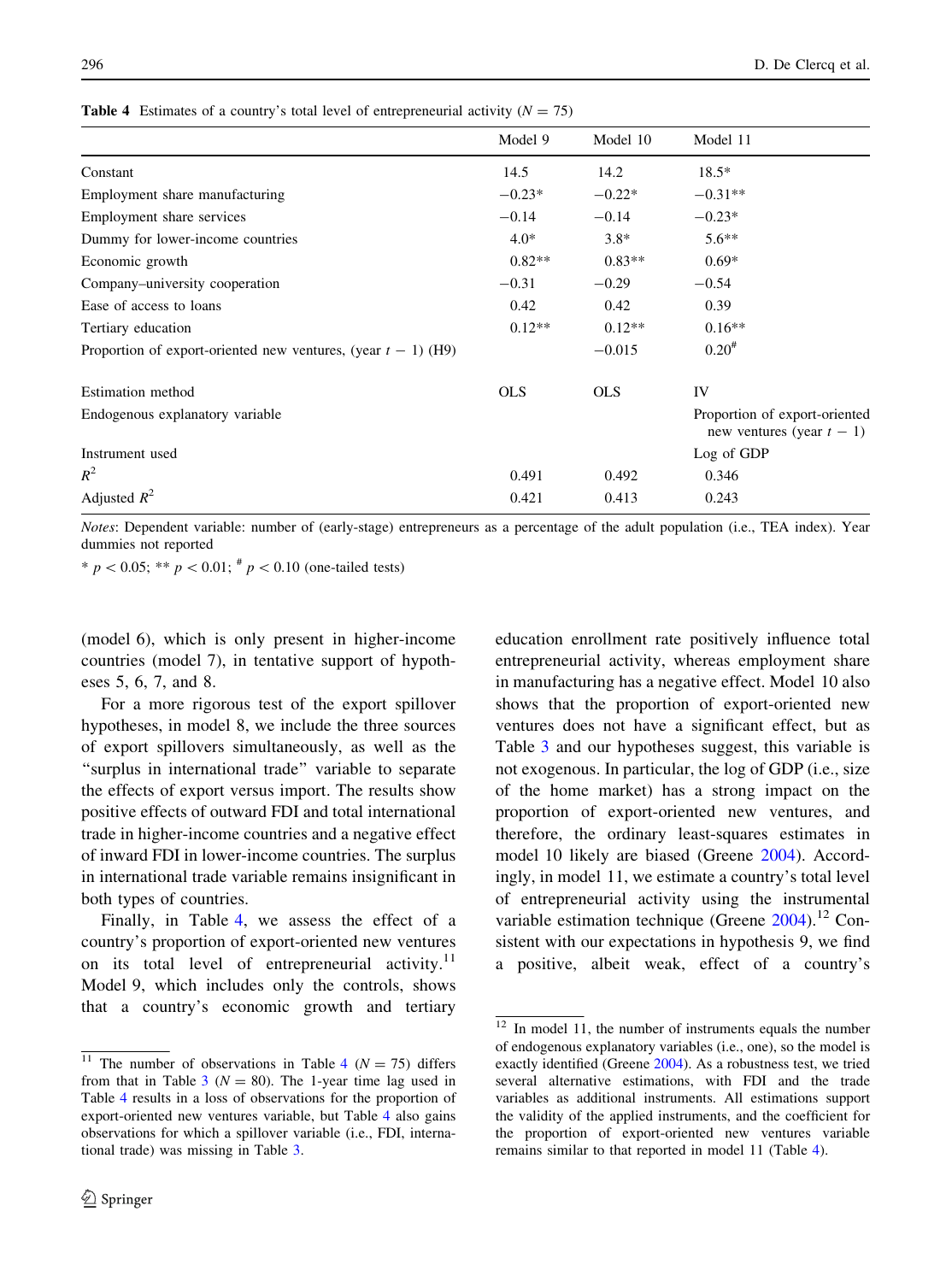|                                                                  | Model 9    | Model 10   | Model 11                                                    |
|------------------------------------------------------------------|------------|------------|-------------------------------------------------------------|
| Constant                                                         | 14.5       | 14.2       | $18.5*$                                                     |
| Employment share manufacturing                                   | $-0.23*$   | $-0.22*$   | $-0.31**$                                                   |
| Employment share services                                        | $-0.14$    | $-0.14$    | $-0.23*$                                                    |
| Dummy for lower-income countries                                 | $4.0*$     | $3.8*$     | $5.6**$                                                     |
| Economic growth                                                  | $0.82**$   | $0.83**$   | $0.69*$                                                     |
| Company–university cooperation                                   | $-0.31$    | $-0.29$    | $-0.54$                                                     |
| Ease of access to loans                                          | 0.42       | 0.42       | 0.39                                                        |
| Tertiary education                                               | $0.12**$   | $0.12**$   | $0.16**$                                                    |
| Proportion of export-oriented new ventures, (year $t - 1$ ) (H9) |            | $-0.015$   | $0.20^{#}$                                                  |
| Estimation method                                                | <b>OLS</b> | <b>OLS</b> | IV                                                          |
| Endogenous explanatory variable                                  |            |            | Proportion of export-oriented<br>new ventures (year $t-1$ ) |
| Instrument used                                                  |            |            | Log of GDP                                                  |
| $R^2$                                                            | 0.491      | 0.492      | 0.346                                                       |
| Adjusted $R^2$                                                   | 0.421      | 0.413      | 0.243                                                       |
|                                                                  |            |            |                                                             |

<span id="page-13-0"></span>**Table 4** Estimates of a country's total level of entrepreneurial activity  $(N = 75)$ 

Notes: Dependent variable: number of (early-stage) entrepreneurs as a percentage of the adult population (i.e., TEA index). Year dummies not reported

\*  $p < 0.05$ ; \*\*  $p < 0.01$ ;  $\frac{h}{p} < 0.10$  (one-tailed tests)

(model 6), which is only present in higher-income countries (model 7), in tentative support of hypotheses 5, 6, 7, and 8.

For a more rigorous test of the export spillover hypotheses, in model 8, we include the three sources of export spillovers simultaneously, as well as the "surplus in international trade" variable to separate the effects of export versus import. The results show positive effects of outward FDI and total international trade in higher-income countries and a negative effect of inward FDI in lower-income countries. The surplus in international trade variable remains insignificant in both types of countries.

Finally, in Table 4, we assess the effect of a country's proportion of export-oriented new ventures on its total level of entrepreneurial activity.<sup>11</sup> Model 9, which includes only the controls, shows that a country's economic growth and tertiary education enrollment rate positively influence total entrepreneurial activity, whereas employment share in manufacturing has a negative effect. Model 10 also shows that the proportion of export-oriented new ventures does not have a significant effect, but as Table [3](#page-12-0) and our hypotheses suggest, this variable is not exogenous. In particular, the log of GDP (i.e., size of the home market) has a strong impact on the proportion of export-oriented new ventures, and therefore, the ordinary least-squares estimates in model 10 likely are biased (Greene [2004](#page-18-0)). Accordingly, in model 11, we estimate a country's total level of entrepreneurial activity using the instrumental variable estimation technique (Greene  $2004$ ).<sup>12</sup> Consistent with our expectations in hypothesis 9, we find a positive, albeit weak, effect of a country's

<sup>&</sup>lt;sup>11</sup> The number of observations in Table 4 ( $N = 75$ ) differs from that in Table [3](#page-12-0) ( $N = 80$ ). The 1-year time lag used in Table 4 results in a loss of observations for the proportion of export-oriented new ventures variable, but Table 4 also gains observations for which a spillover variable (i.e., FDI, international trade) was missing in Table [3.](#page-12-0)

<sup>&</sup>lt;sup>12</sup> In model 11, the number of instruments equals the number of endogenous explanatory variables (i.e., one), so the model is exactly identified (Greene [2004\)](#page-18-0). As a robustness test, we tried several alternative estimations, with FDI and the trade variables as additional instruments. All estimations support the validity of the applied instruments, and the coefficient for the proportion of export-oriented new ventures variable remains similar to that reported in model 11 (Table 4).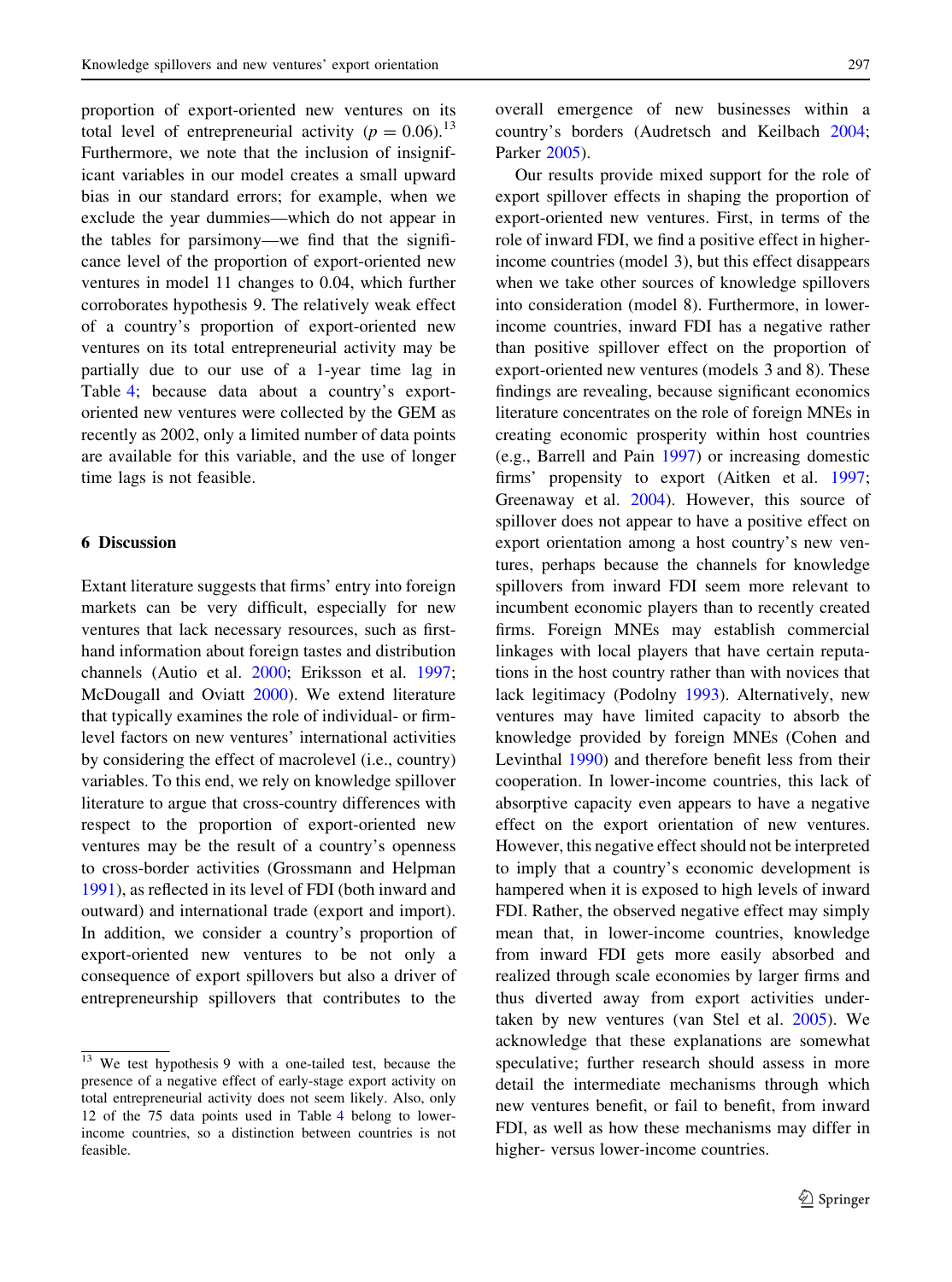proportion of export-oriented new ventures on its total level of entrepreneurial activity ( $p = 0.06$ ).<sup>13</sup> Furthermore, we note that the inclusion of insignificant variables in our model creates a small upward bias in our standard errors; for example, when we exclude the year dummies—which do not appear in the tables for parsimony—we find that the significance level of the proportion of export-oriented new ventures in model 11 changes to 0.04, which further corroborates hypothesis 9. The relatively weak effect of a country's proportion of export-oriented new ventures on its total entrepreneurial activity may be partially due to our use of a 1-year time lag in Table [4;](#page-13-0) because data about a country's exportoriented new ventures were collected by the GEM as recently as 2002, only a limited number of data points are available for this variable, and the use of longer time lags is not feasible.

## 6 Discussion

Extant literature suggests that firms' entry into foreign markets can be very difficult, especially for new ventures that lack necessary resources, such as firsthand information about foreign tastes and distribution channels (Autio et al. [2000;](#page-17-0) Eriksson et al. [1997](#page-18-0); McDougall and Oviatt [2000\)](#page-19-0). We extend literature that typically examines the role of individual- or firmlevel factors on new ventures' international activities by considering the effect of macrolevel (i.e., country) variables. To this end, we rely on knowledge spillover literature to argue that cross-country differences with respect to the proportion of export-oriented new ventures may be the result of a country's openness to cross-border activities (Grossmann and Helpman [1991\)](#page-18-0), as reflected in its level of FDI (both inward and outward) and international trade (export and import). In addition, we consider a country's proportion of export-oriented new ventures to be not only a consequence of export spillovers but also a driver of entrepreneurship spillovers that contributes to the

overall emergence of new businesses within a country's borders (Audretsch and Keilbach [2004](#page-17-0); Parker [2005\)](#page-19-0).

Our results provide mixed support for the role of export spillover effects in shaping the proportion of export-oriented new ventures. First, in terms of the role of inward FDI, we find a positive effect in higherincome countries (model 3), but this effect disappears when we take other sources of knowledge spillovers into consideration (model 8). Furthermore, in lowerincome countries, inward FDI has a negative rather than positive spillover effect on the proportion of export-oriented new ventures (models 3 and 8). These findings are revealing, because significant economics literature concentrates on the role of foreign MNEs in creating economic prosperity within host countries (e.g., Barrell and Pain [1997](#page-17-0)) or increasing domestic firms' propensity to export (Aitken et al. [1997](#page-17-0); Greenaway et al. [2004\)](#page-18-0). However, this source of spillover does not appear to have a positive effect on export orientation among a host country's new ventures, perhaps because the channels for knowledge spillovers from inward FDI seem more relevant to incumbent economic players than to recently created firms. Foreign MNEs may establish commercial linkages with local players that have certain reputations in the host country rather than with novices that lack legitimacy (Podolny [1993\)](#page-19-0). Alternatively, new ventures may have limited capacity to absorb the knowledge provided by foreign MNEs (Cohen and Levinthal [1990\)](#page-18-0) and therefore benefit less from their cooperation. In lower-income countries, this lack of absorptive capacity even appears to have a negative effect on the export orientation of new ventures. However, this negative effect should not be interpreted to imply that a country's economic development is hampered when it is exposed to high levels of inward FDI. Rather, the observed negative effect may simply mean that, in lower-income countries, knowledge from inward FDI gets more easily absorbed and realized through scale economies by larger firms and thus diverted away from export activities undertaken by new ventures (van Stel et al. [2005\)](#page-20-0). We acknowledge that these explanations are somewhat speculative; further research should assess in more detail the intermediate mechanisms through which new ventures benefit, or fail to benefit, from inward FDI, as well as how these mechanisms may differ in higher- versus lower-income countries.

<sup>13</sup> We test hypothesis 9 with a one-tailed test, because the presence of a negative effect of early-stage export activity on total entrepreneurial activity does not seem likely. Also, only 12 of the 75 data points used in Table [4](#page-13-0) belong to lowerincome countries, so a distinction between countries is not feasible.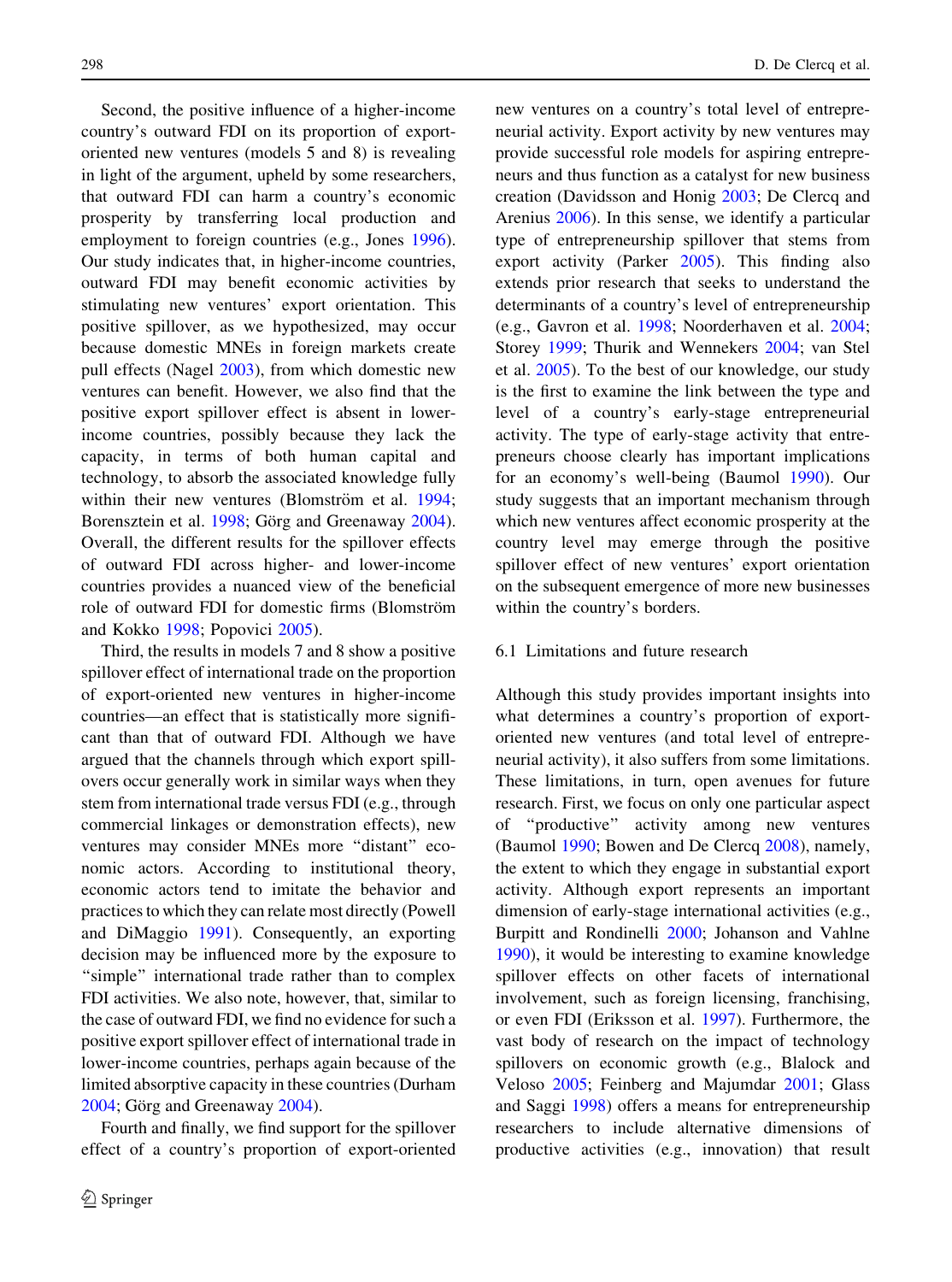Second, the positive influence of a higher-income country's outward FDI on its proportion of exportoriented new ventures (models 5 and 8) is revealing in light of the argument, upheld by some researchers, that outward FDI can harm a country's economic prosperity by transferring local production and employment to foreign countries (e.g., Jones [1996](#page-19-0)). Our study indicates that, in higher-income countries, outward FDI may benefit economic activities by stimulating new ventures' export orientation. This positive spillover, as we hypothesized, may occur because domestic MNEs in foreign markets create pull effects (Nagel [2003](#page-19-0)), from which domestic new ventures can benefit. However, we also find that the positive export spillover effect is absent in lowerincome countries, possibly because they lack the capacity, in terms of both human capital and technology, to absorb the associated knowledge fully within their new ventures (Blomström et al. [1994](#page-17-0); Borensztein et al. [1998;](#page-17-0) Görg and Greenaway [2004](#page-18-0)). Overall, the different results for the spillover effects of outward FDI across higher- and lower-income countries provides a nuanced view of the beneficial role of outward FDI for domestic firms (Blomström and Kokko [1998;](#page-17-0) Popovici [2005\)](#page-19-0).

Third, the results in models 7 and 8 show a positive spillover effect of international trade on the proportion of export-oriented new ventures in higher-income countries—an effect that is statistically more significant than that of outward FDI. Although we have argued that the channels through which export spillovers occur generally work in similar ways when they stem from international trade versus FDI (e.g., through commercial linkages or demonstration effects), new ventures may consider MNEs more ''distant'' economic actors. According to institutional theory, economic actors tend to imitate the behavior and practices to which they can relate most directly (Powell and DiMaggio [1991\)](#page-19-0). Consequently, an exporting decision may be influenced more by the exposure to "simple" international trade rather than to complex FDI activities. We also note, however, that, similar to the case of outward FDI, we find no evidence for such a positive export spillover effect of international trade in lower-income countries, perhaps again because of the limited absorptive capacity in these countries (Durham [2004;](#page-18-0) Görg and Greenaway [2004\)](#page-18-0).

Fourth and finally, we find support for the spillover effect of a country's proportion of export-oriented

new ventures on a country's total level of entrepreneurial activity. Export activity by new ventures may provide successful role models for aspiring entrepreneurs and thus function as a catalyst for new business creation (Davidsson and Honig [2003](#page-18-0); De Clercq and Arenius [2006\)](#page-18-0). In this sense, we identify a particular type of entrepreneurship spillover that stems from export activity (Parker [2005](#page-19-0)). This finding also extends prior research that seeks to understand the determinants of a country's level of entrepreneurship (e.g., Gavron et al. [1998](#page-18-0); Noorderhaven et al. [2004](#page-19-0); Storey [1999;](#page-20-0) Thurik and Wennekers [2004;](#page-20-0) van Stel et al. [2005](#page-20-0)). To the best of our knowledge, our study is the first to examine the link between the type and level of a country's early-stage entrepreneurial activity. The type of early-stage activity that entrepreneurs choose clearly has important implications for an economy's well-being (Baumol [1990\)](#page-17-0). Our study suggests that an important mechanism through which new ventures affect economic prosperity at the country level may emerge through the positive spillover effect of new ventures' export orientation on the subsequent emergence of more new businesses within the country's borders.

## 6.1 Limitations and future research

Although this study provides important insights into what determines a country's proportion of exportoriented new ventures (and total level of entrepreneurial activity), it also suffers from some limitations. These limitations, in turn, open avenues for future research. First, we focus on only one particular aspect of ''productive'' activity among new ventures (Baumol [1990;](#page-17-0) Bowen and De Clercq [2008\)](#page-17-0), namely, the extent to which they engage in substantial export activity. Although export represents an important dimension of early-stage international activities (e.g., Burpitt and Rondinelli [2000;](#page-18-0) Johanson and Vahlne [1990\)](#page-19-0), it would be interesting to examine knowledge spillover effects on other facets of international involvement, such as foreign licensing, franchising, or even FDI (Eriksson et al. [1997](#page-18-0)). Furthermore, the vast body of research on the impact of technology spillovers on economic growth (e.g., Blalock and Veloso [2005;](#page-17-0) Feinberg and Majumdar [2001;](#page-18-0) Glass and Saggi [1998\)](#page-18-0) offers a means for entrepreneurship researchers to include alternative dimensions of productive activities (e.g., innovation) that result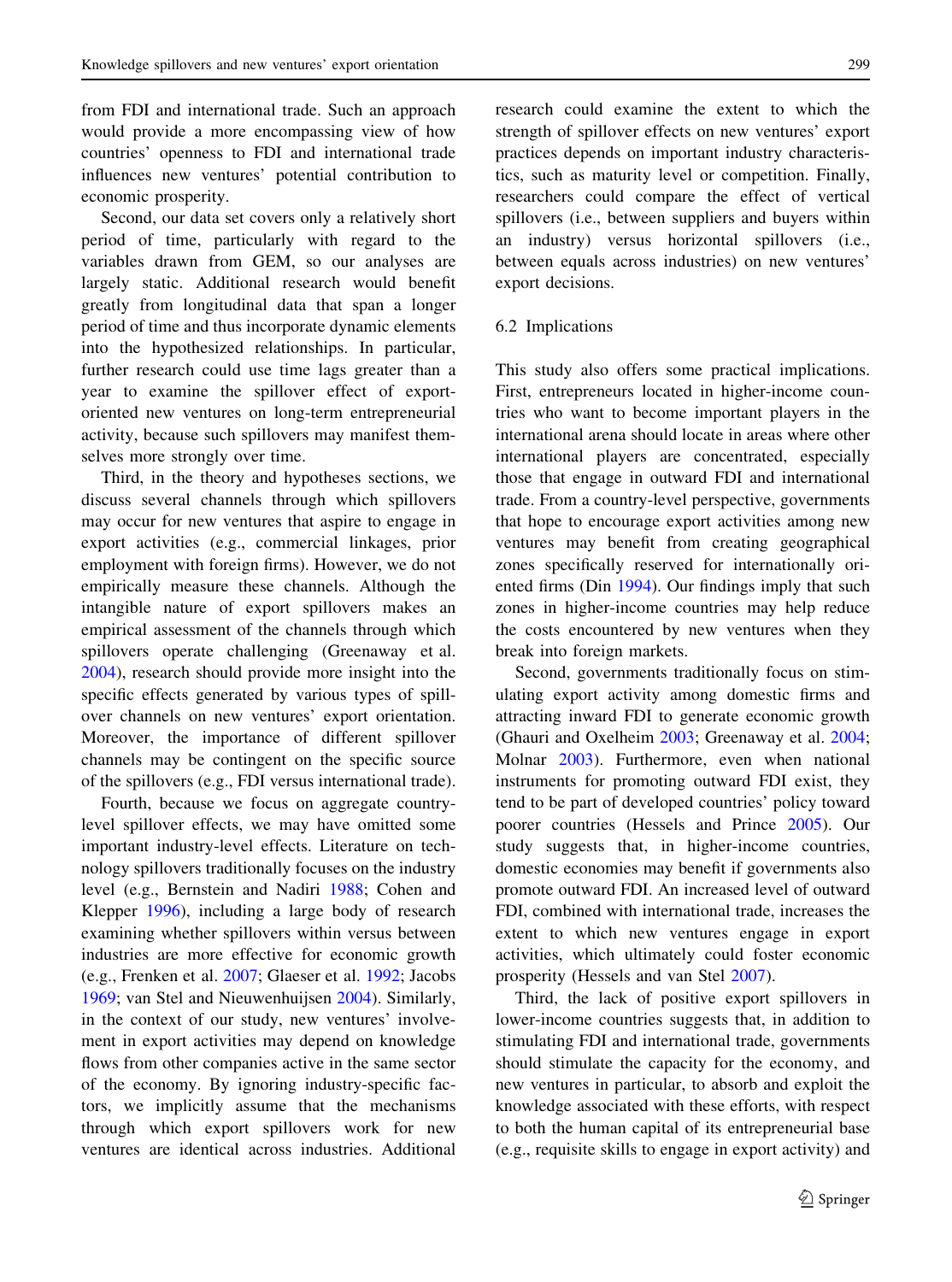from FDI and international trade. Such an approach would provide a more encompassing view of how countries' openness to FDI and international trade influences new ventures' potential contribution to economic prosperity.

Second, our data set covers only a relatively short period of time, particularly with regard to the variables drawn from GEM, so our analyses are largely static. Additional research would benefit greatly from longitudinal data that span a longer period of time and thus incorporate dynamic elements into the hypothesized relationships. In particular, further research could use time lags greater than a year to examine the spillover effect of exportoriented new ventures on long-term entrepreneurial activity, because such spillovers may manifest themselves more strongly over time.

Third, in the theory and hypotheses sections, we discuss several channels through which spillovers may occur for new ventures that aspire to engage in export activities (e.g., commercial linkages, prior employment with foreign firms). However, we do not empirically measure these channels. Although the intangible nature of export spillovers makes an empirical assessment of the channels through which spillovers operate challenging (Greenaway et al. [2004\)](#page-18-0), research should provide more insight into the specific effects generated by various types of spillover channels on new ventures' export orientation. Moreover, the importance of different spillover channels may be contingent on the specific source of the spillovers (e.g., FDI versus international trade).

Fourth, because we focus on aggregate countrylevel spillover effects, we may have omitted some important industry-level effects. Literature on technology spillovers traditionally focuses on the industry level (e.g., Bernstein and Nadiri [1988](#page-17-0); Cohen and Klepper [1996\)](#page-18-0), including a large body of research examining whether spillovers within versus between industries are more effective for economic growth (e.g., Frenken et al. [2007](#page-18-0); Glaeser et al. [1992](#page-18-0); Jacobs [1969;](#page-18-0) van Stel and Nieuwenhuijsen [2004\)](#page-20-0). Similarly, in the context of our study, new ventures' involvement in export activities may depend on knowledge flows from other companies active in the same sector of the economy. By ignoring industry-specific factors, we implicitly assume that the mechanisms through which export spillovers work for new ventures are identical across industries. Additional

research could examine the extent to which the strength of spillover effects on new ventures' export practices depends on important industry characteristics, such as maturity level or competition. Finally, researchers could compare the effect of vertical spillovers (i.e., between suppliers and buyers within an industry) versus horizontal spillovers (i.e., between equals across industries) on new ventures' export decisions.

#### 6.2 Implications

This study also offers some practical implications. First, entrepreneurs located in higher-income countries who want to become important players in the international arena should locate in areas where other international players are concentrated, especially those that engage in outward FDI and international trade. From a country-level perspective, governments that hope to encourage export activities among new ventures may benefit from creating geographical zones specifically reserved for internationally oriented firms (Din [1994\)](#page-18-0). Our findings imply that such zones in higher-income countries may help reduce the costs encountered by new ventures when they break into foreign markets.

Second, governments traditionally focus on stimulating export activity among domestic firms and attracting inward FDI to generate economic growth (Ghauri and Oxelheim [2003](#page-18-0); Greenaway et al. [2004](#page-18-0); Molnar [2003](#page-19-0)). Furthermore, even when national instruments for promoting outward FDI exist, they tend to be part of developed countries' policy toward poorer countries (Hessels and Prince [2005\)](#page-18-0). Our study suggests that, in higher-income countries, domestic economies may benefit if governments also promote outward FDI. An increased level of outward FDI, combined with international trade, increases the extent to which new ventures engage in export activities, which ultimately could foster economic prosperity (Hessels and van Stel [2007](#page-18-0)).

Third, the lack of positive export spillovers in lower-income countries suggests that, in addition to stimulating FDI and international trade, governments should stimulate the capacity for the economy, and new ventures in particular, to absorb and exploit the knowledge associated with these efforts, with respect to both the human capital of its entrepreneurial base (e.g., requisite skills to engage in export activity) and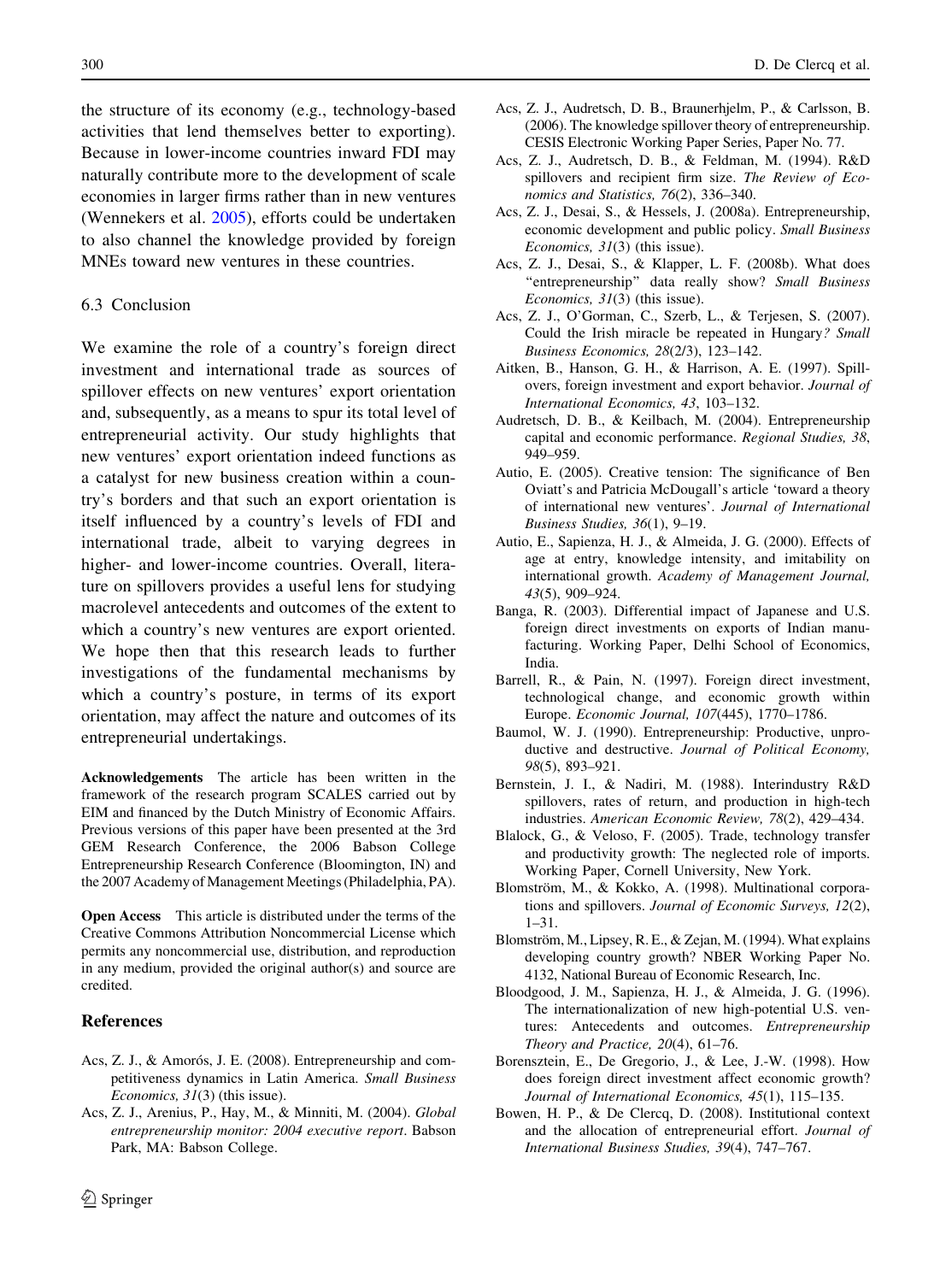<span id="page-17-0"></span>the structure of its economy (e.g., technology-based activities that lend themselves better to exporting). Because in lower-income countries inward FDI may naturally contribute more to the development of scale economies in larger firms rather than in new ventures (Wennekers et al. [2005\)](#page-20-0), efforts could be undertaken to also channel the knowledge provided by foreign MNEs toward new ventures in these countries.

## 6.3 Conclusion

We examine the role of a country's foreign direct investment and international trade as sources of spillover effects on new ventures' export orientation and, subsequently, as a means to spur its total level of entrepreneurial activity. Our study highlights that new ventures' export orientation indeed functions as a catalyst for new business creation within a country's borders and that such an export orientation is itself influenced by a country's levels of FDI and international trade, albeit to varying degrees in higher- and lower-income countries. Overall, literature on spillovers provides a useful lens for studying macrolevel antecedents and outcomes of the extent to which a country's new ventures are export oriented. We hope then that this research leads to further investigations of the fundamental mechanisms by which a country's posture, in terms of its export orientation, may affect the nature and outcomes of its entrepreneurial undertakings.

Acknowledgements The article has been written in the framework of the research program SCALES carried out by EIM and financed by the Dutch Ministry of Economic Affairs. Previous versions of this paper have been presented at the 3rd GEM Research Conference, the 2006 Babson College Entrepreneurship Research Conference (Bloomington, IN) and the 2007 Academy of Management Meetings (Philadelphia, PA).

Open Access This article is distributed under the terms of the Creative Commons Attribution Noncommercial License which permits any noncommercial use, distribution, and reproduction in any medium, provided the original author(s) and source are credited.

#### References

- Acs, Z. J., & Amorós, J. E. (2008). Entrepreneurship and competitiveness dynamics in Latin America. Small Business Economics, 31(3) (this issue).
- Acs, Z. J., Arenius, P., Hay, M., & Minniti, M. (2004). Global entrepreneurship monitor: 2004 executive report. Babson Park, MA: Babson College.
- Acs, Z. J., Audretsch, D. B., Braunerhjelm, P., & Carlsson, B. (2006). The knowledge spillover theory of entrepreneurship. CESIS Electronic Working Paper Series, Paper No. 77.
- Acs, Z. J., Audretsch, D. B., & Feldman, M. (1994). R&D spillovers and recipient firm size. The Review of Economics and Statistics, 76(2), 336–340.
- Acs, Z. J., Desai, S., & Hessels, J. (2008a). Entrepreneurship, economic development and public policy. Small Business Economics, 31(3) (this issue).
- Acs, Z. J., Desai, S., & Klapper, L. F. (2008b). What does "entrepreneurship" data really show? Small Business Economics, 31(3) (this issue).
- Acs, Z. J., O'Gorman, C., Szerb, L., & Terjesen, S. (2007). Could the Irish miracle be repeated in Hungary? Small Business Economics, 28(2/3), 123–142.
- Aitken, B., Hanson, G. H., & Harrison, A. E. (1997). Spillovers, foreign investment and export behavior. Journal of International Economics, 43, 103–132.
- Audretsch, D. B., & Keilbach, M. (2004). Entrepreneurship capital and economic performance. Regional Studies, 38, 949–959.
- Autio, E. (2005). Creative tension: The significance of Ben Oviatt's and Patricia McDougall's article 'toward a theory of international new ventures'. Journal of International Business Studies, 36(1), 9–19.
- Autio, E., Sapienza, H. J., & Almeida, J. G. (2000). Effects of age at entry, knowledge intensity, and imitability on international growth. Academy of Management Journal, 43(5), 909–924.
- Banga, R. (2003). Differential impact of Japanese and U.S. foreign direct investments on exports of Indian manufacturing. Working Paper, Delhi School of Economics, India.
- Barrell, R., & Pain, N. (1997). Foreign direct investment, technological change, and economic growth within Europe. Economic Journal, 107(445), 1770–1786.
- Baumol, W. J. (1990). Entrepreneurship: Productive, unproductive and destructive. Journal of Political Economy, 98(5), 893–921.
- Bernstein, J. I., & Nadiri, M. (1988). Interindustry R&D spillovers, rates of return, and production in high-tech industries. American Economic Review, 78(2), 429–434.
- Blalock, G., & Veloso, F. (2005). Trade, technology transfer and productivity growth: The neglected role of imports. Working Paper, Cornell University, New York.
- Blomström, M., & Kokko, A. (1998). Multinational corporations and spillovers. Journal of Economic Surveys, 12(2), 1–31.
- Blomström, M., Lipsey, R. E., & Zejan, M. (1994). What explains developing country growth? NBER Working Paper No. 4132, National Bureau of Economic Research, Inc.
- Bloodgood, J. M., Sapienza, H. J., & Almeida, J. G. (1996). The internationalization of new high-potential U.S. ventures: Antecedents and outcomes. Entrepreneurship Theory and Practice, 20(4), 61–76.
- Borensztein, E., De Gregorio, J., & Lee, J.-W. (1998). How does foreign direct investment affect economic growth? Journal of International Economics, 45(1), 115–135.
- Bowen, H. P., & De Clercq, D. (2008). Institutional context and the allocation of entrepreneurial effort. Journal of International Business Studies, 39(4), 747–767.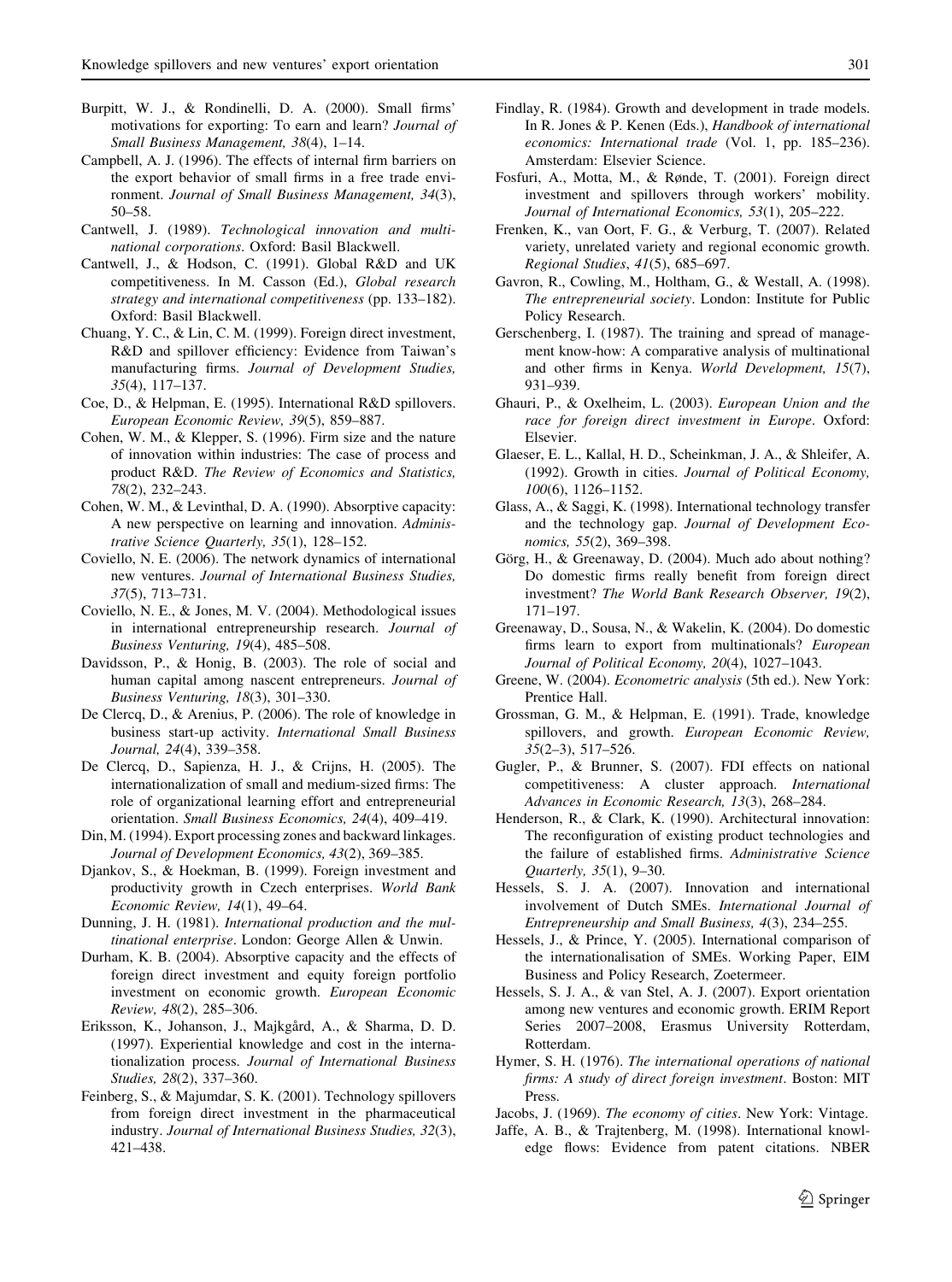- <span id="page-18-0"></span>Burpitt, W. J., & Rondinelli, D. A. (2000). Small firms' motivations for exporting: To earn and learn? Journal of Small Business Management, 38(4), 1–14.
- Campbell, A. J. (1996). The effects of internal firm barriers on the export behavior of small firms in a free trade environment. Journal of Small Business Management, 34(3), 50–58.
- Cantwell, J. (1989). Technological innovation and multinational corporations. Oxford: Basil Blackwell.
- Cantwell, J., & Hodson, C. (1991). Global R&D and UK competitiveness. In M. Casson (Ed.), Global research strategy and international competitiveness (pp. 133–182). Oxford: Basil Blackwell.
- Chuang, Y. C., & Lin, C. M. (1999). Foreign direct investment, R&D and spillover efficiency: Evidence from Taiwan's manufacturing firms. Journal of Development Studies, 35(4), 117–137.
- Coe, D., & Helpman, E. (1995). International R&D spillovers. European Economic Review, 39(5), 859–887.
- Cohen, W. M., & Klepper, S. (1996). Firm size and the nature of innovation within industries: The case of process and product R&D. The Review of Economics and Statistics, 78(2), 232–243.
- Cohen, W. M., & Levinthal, D. A. (1990). Absorptive capacity: A new perspective on learning and innovation. Administrative Science Quarterly, 35(1), 128–152.
- Coviello, N. E. (2006). The network dynamics of international new ventures. Journal of International Business Studies, 37(5), 713–731.
- Coviello, N. E., & Jones, M. V. (2004). Methodological issues in international entrepreneurship research. Journal of Business Venturing, 19(4), 485–508.
- Davidsson, P., & Honig, B. (2003). The role of social and human capital among nascent entrepreneurs. Journal of Business Venturing, 18(3), 301–330.
- De Clercq, D., & Arenius, P. (2006). The role of knowledge in business start-up activity. International Small Business Journal, 24(4), 339–358.
- De Clercq, D., Sapienza, H. J., & Crijns, H. (2005). The internationalization of small and medium-sized firms: The role of organizational learning effort and entrepreneurial orientation. Small Business Economics, 24(4), 409–419.
- Din, M. (1994). Export processing zones and backward linkages. Journal of Development Economics, 43(2), 369–385.
- Djankov, S., & Hoekman, B. (1999). Foreign investment and productivity growth in Czech enterprises. World Bank Economic Review, 14(1), 49–64.
- Dunning, J. H. (1981). International production and the multinational enterprise. London: George Allen & Unwin.
- Durham, K. B. (2004). Absorptive capacity and the effects of foreign direct investment and equity foreign portfolio investment on economic growth. European Economic Review, 48(2), 285–306.
- Eriksson, K., Johanson, J., Majkgård, A., & Sharma, D. D. (1997). Experiential knowledge and cost in the internationalization process. Journal of International Business Studies, 28(2), 337–360.
- Feinberg, S., & Majumdar, S. K. (2001). Technology spillovers from foreign direct investment in the pharmaceutical industry. Journal of International Business Studies, 32(3), 421–438.
- Findlay, R. (1984). Growth and development in trade models. In R. Jones & P. Kenen (Eds.), Handbook of international economics: International trade (Vol. 1, pp. 185–236). Amsterdam: Elsevier Science.
- Fosfuri, A., Motta, M., & Rønde, T. (2001). Foreign direct investment and spillovers through workers' mobility. Journal of International Economics, 53(1), 205–222.
- Frenken, K., van Oort, F. G., & Verburg, T. (2007). Related variety, unrelated variety and regional economic growth. Regional Studies, 41(5), 685–697.
- Gavron, R., Cowling, M., Holtham, G., & Westall, A. (1998). The entrepreneurial society. London: Institute for Public Policy Research.
- Gerschenberg, I. (1987). The training and spread of management know-how: A comparative analysis of multinational and other firms in Kenya. World Development, 15(7), 931–939.
- Ghauri, P., & Oxelheim, L. (2003). European Union and the race for foreign direct investment in Europe. Oxford: Elsevier.
- Glaeser, E. L., Kallal, H. D., Scheinkman, J. A., & Shleifer, A. (1992). Growth in cities. Journal of Political Economy, 100(6), 1126–1152.
- Glass, A., & Saggi, K. (1998). International technology transfer and the technology gap. Journal of Development Economics, 55(2), 369–398.
- Görg, H., & Greenaway, D. (2004). Much ado about nothing? Do domestic firms really benefit from foreign direct investment? The World Bank Research Observer, 19(2), 171–197.
- Greenaway, D., Sousa, N., & Wakelin, K. (2004). Do domestic firms learn to export from multinationals? European Journal of Political Economy, 20(4), 1027–1043.
- Greene, W. (2004). Econometric analysis (5th ed.). New York: Prentice Hall.
- Grossman, G. M., & Helpman, E. (1991). Trade, knowledge spillovers, and growth. European Economic Review, 35(2–3), 517–526.
- Gugler, P., & Brunner, S. (2007). FDI effects on national competitiveness: A cluster approach. International Advances in Economic Research, 13(3), 268–284.
- Henderson, R., & Clark, K. (1990). Architectural innovation: The reconfiguration of existing product technologies and the failure of established firms. Administrative Science Quarterly, 35(1), 9–30.
- Hessels, S. J. A. (2007). Innovation and international involvement of Dutch SMEs. International Journal of Entrepreneurship and Small Business, 4(3), 234–255.
- Hessels, J., & Prince, Y. (2005). International comparison of the internationalisation of SMEs. Working Paper, EIM Business and Policy Research, Zoetermeer.
- Hessels, S. J. A., & van Stel, A. J. (2007). Export orientation among new ventures and economic growth. ERIM Report Series 2007–2008, Erasmus University Rotterdam, Rotterdam.
- Hymer, S. H. (1976). The international operations of national firms: A study of direct foreign investment. Boston: MIT Press.
- Jacobs, J. (1969). The economy of cities. New York: Vintage.
- Jaffe, A. B., & Trajtenberg, M. (1998). International knowledge flows: Evidence from patent citations. NBER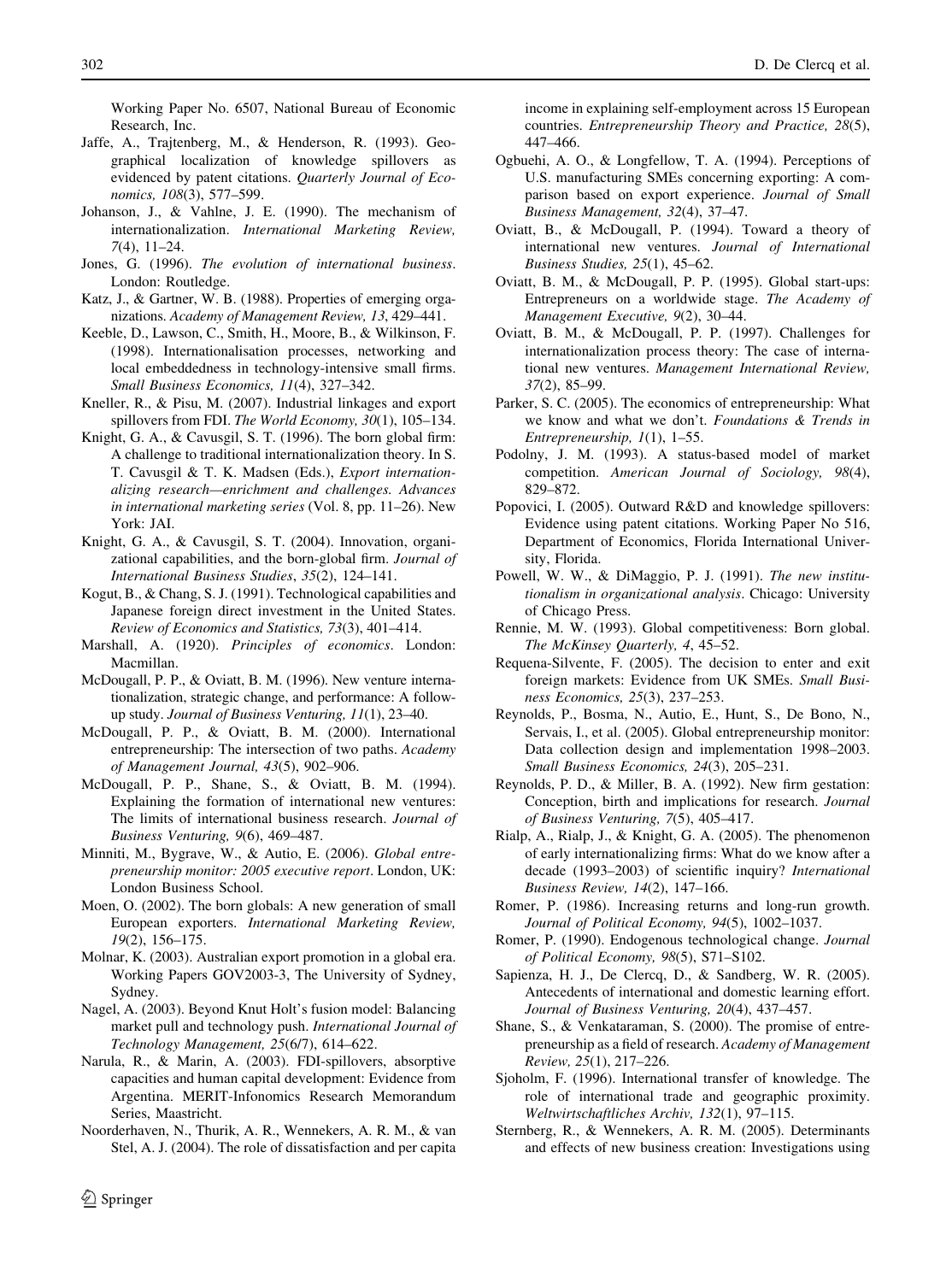<span id="page-19-0"></span>Working Paper No. 6507, National Bureau of Economic Research, Inc.

- Jaffe, A., Trajtenberg, M., & Henderson, R. (1993). Geographical localization of knowledge spillovers as evidenced by patent citations. Quarterly Journal of Economics, 108(3), 577–599.
- Johanson, J., & Vahlne, J. E. (1990). The mechanism of internationalization. International Marketing Review, 7(4), 11–24.
- Jones, G. (1996). The evolution of international business. London: Routledge.
- Katz, J., & Gartner, W. B. (1988). Properties of emerging organizations. Academy of Management Review, 13, 429–441.
- Keeble, D., Lawson, C., Smith, H., Moore, B., & Wilkinson, F. (1998). Internationalisation processes, networking and local embeddedness in technology-intensive small firms. Small Business Economics, 11(4), 327–342.
- Kneller, R., & Pisu, M. (2007). Industrial linkages and export spillovers from FDI. The World Economy, 30(1), 105–134.
- Knight, G. A., & Cavusgil, S. T. (1996). The born global firm: A challenge to traditional internationalization theory. In S. T. Cavusgil & T. K. Madsen (Eds.), Export internationalizing research—enrichment and challenges. Advances in international marketing series (Vol. 8, pp. 11–26). New York: JAI.
- Knight, G. A., & Cavusgil, S. T. (2004). Innovation, organizational capabilities, and the born-global firm. Journal of International Business Studies, 35(2), 124–141.
- Kogut, B., & Chang, S. J. (1991). Technological capabilities and Japanese foreign direct investment in the United States. Review of Economics and Statistics, 73(3), 401–414.
- Marshall, A. (1920). Principles of economics. London: Macmillan.
- McDougall, P. P., & Oviatt, B. M. (1996). New venture internationalization, strategic change, and performance: A followup study. Journal of Business Venturing, 11(1), 23–40.
- McDougall, P. P., & Oviatt, B. M. (2000). International entrepreneurship: The intersection of two paths. Academy of Management Journal, 43(5), 902–906.
- McDougall, P. P., Shane, S., & Oviatt, B. M. (1994). Explaining the formation of international new ventures: The limits of international business research. Journal of Business Venturing, 9(6), 469–487.
- Minniti, M., Bygrave, W., & Autio, E. (2006). Global entrepreneurship monitor: 2005 executive report. London, UK: London Business School.
- Moen, O. (2002). The born globals: A new generation of small European exporters. International Marketing Review, 19(2), 156–175.
- Molnar, K. (2003). Australian export promotion in a global era. Working Papers GOV2003-3, The University of Sydney, Sydney.
- Nagel, A. (2003). Beyond Knut Holt's fusion model: Balancing market pull and technology push. International Journal of Technology Management, 25(6/7), 614–622.
- Narula, R., & Marin, A. (2003). FDI-spillovers, absorptive capacities and human capital development: Evidence from Argentina. MERIT-Infonomics Research Memorandum Series, Maastricht.
- Noorderhaven, N., Thurik, A. R., Wennekers, A. R. M., & van Stel, A. J. (2004). The role of dissatisfaction and per capita

 $\circledcirc$  Springer

income in explaining self-employment across 15 European countries. Entrepreneurship Theory and Practice, 28(5), 447–466.

- Ogbuehi, A. O., & Longfellow, T. A. (1994). Perceptions of U.S. manufacturing SMEs concerning exporting: A comparison based on export experience. Journal of Small Business Management, 32(4), 37–47.
- Oviatt, B., & McDougall, P. (1994). Toward a theory of international new ventures. Journal of International Business Studies, 25(1), 45–62.
- Oviatt, B. M., & McDougall, P. P. (1995). Global start-ups: Entrepreneurs on a worldwide stage. The Academy of Management Executive, 9(2), 30–44.
- Oviatt, B. M., & McDougall, P. P. (1997). Challenges for internationalization process theory: The case of international new ventures. Management International Review, 37(2), 85–99.
- Parker, S. C. (2005). The economics of entrepreneurship: What we know and what we don't. Foundations & Trends in Entrepreneurship, 1(1), 1–55.
- Podolny, J. M. (1993). A status-based model of market competition. American Journal of Sociology, 98(4), 829–872.
- Popovici, I. (2005). Outward R&D and knowledge spillovers: Evidence using patent citations. Working Paper No 516, Department of Economics, Florida International University, Florida.
- Powell, W. W., & DiMaggio, P. J. (1991). The new institutionalism in organizational analysis. Chicago: University of Chicago Press.
- Rennie, M. W. (1993). Global competitiveness: Born global. The McKinsey Quarterly, 4, 45–52.
- Requena-Silvente, F. (2005). The decision to enter and exit foreign markets: Evidence from UK SMEs. Small Business Economics, 25(3), 237–253.
- Reynolds, P., Bosma, N., Autio, E., Hunt, S., De Bono, N., Servais, I., et al. (2005). Global entrepreneurship monitor: Data collection design and implementation 1998–2003. Small Business Economics, 24(3), 205–231.
- Reynolds, P. D., & Miller, B. A. (1992). New firm gestation: Conception, birth and implications for research. Journal of Business Venturing, 7(5), 405–417.
- Rialp, A., Rialp, J., & Knight, G. A. (2005). The phenomenon of early internationalizing firms: What do we know after a decade (1993–2003) of scientific inquiry? International Business Review, 14(2), 147–166.
- Romer, P. (1986). Increasing returns and long-run growth. Journal of Political Economy, 94(5), 1002–1037.
- Romer, P. (1990). Endogenous technological change. Journal of Political Economy, 98(5), S71–S102.
- Sapienza, H. J., De Clercq, D., & Sandberg, W. R. (2005). Antecedents of international and domestic learning effort. Journal of Business Venturing, 20(4), 437–457.
- Shane, S., & Venkataraman, S. (2000). The promise of entrepreneurship as a field of research. Academy of Management Review, 25(1), 217–226.
- Sjoholm, F. (1996). International transfer of knowledge. The role of international trade and geographic proximity. Weltwirtschaftliches Archiv, 132(1), 97–115.
- Sternberg, R., & Wennekers, A. R. M. (2005). Determinants and effects of new business creation: Investigations using